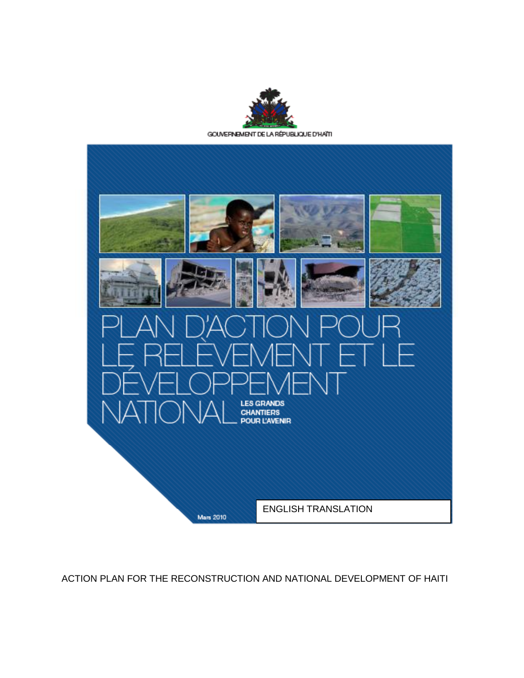

GOUVERNEMENT DE LA RÉPUBLIQUE D'HAÏTI



ACTION PLAN FOR THE RECONSTRUCTION AND NATIONAL DEVELOPMENT OF HAITI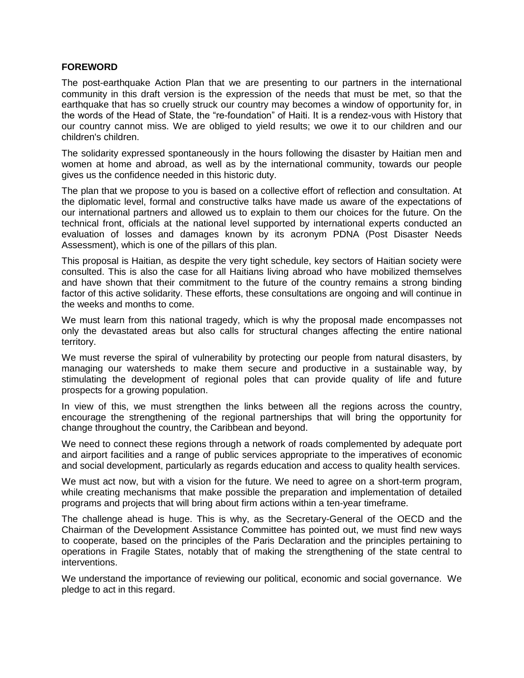#### **FOREWORD**

The post-earthquake Action Plan that we are presenting to our partners in the international community in this draft version is the expression of the needs that must be met, so that the earthquake that has so cruelly struck our country may becomes a window of opportunity for, in the words of the Head of State, the "re-foundation" of Haiti. It is a rendez-vous with History that our country cannot miss. We are obliged to yield results; we owe it to our children and our children's children.

The solidarity expressed spontaneously in the hours following the disaster by Haitian men and women at home and abroad, as well as by the international community, towards our people gives us the confidence needed in this historic duty.

The plan that we propose to you is based on a collective effort of reflection and consultation. At the diplomatic level, formal and constructive talks have made us aware of the expectations of our international partners and allowed us to explain to them our choices for the future. On the technical front, officials at the national level supported by international experts conducted an evaluation of losses and damages known by its acronym PDNA (Post Disaster Needs Assessment), which is one of the pillars of this plan.

This proposal is Haitian, as despite the very tight schedule, key sectors of Haitian society were consulted. This is also the case for all Haitians living abroad who have mobilized themselves and have shown that their commitment to the future of the country remains a strong binding factor of this active solidarity. These efforts, these consultations are ongoing and will continue in the weeks and months to come.

We must learn from this national tragedy, which is why the proposal made encompasses not only the devastated areas but also calls for structural changes affecting the entire national territory.

We must reverse the spiral of vulnerability by protecting our people from natural disasters, by managing our watersheds to make them secure and productive in a sustainable way, by stimulating the development of regional poles that can provide quality of life and future prospects for a growing population.

In view of this, we must strengthen the links between all the regions across the country, encourage the strengthening of the regional partnerships that will bring the opportunity for change throughout the country, the Caribbean and beyond.

We need to connect these regions through a network of roads complemented by adequate port and airport facilities and a range of public services appropriate to the imperatives of economic and social development, particularly as regards education and access to quality health services.

We must act now, but with a vision for the future. We need to agree on a short-term program, while creating mechanisms that make possible the preparation and implementation of detailed programs and projects that will bring about firm actions within a ten-year timeframe.

The challenge ahead is huge. This is why, as the Secretary-General of the OECD and the Chairman of the Development Assistance Committee has pointed out, we must find new ways to cooperate, based on the principles of the Paris Declaration and the principles pertaining to operations in Fragile States, notably that of making the strengthening of the state central to interventions.

We understand the importance of reviewing our political, economic and social governance. We pledge to act in this regard.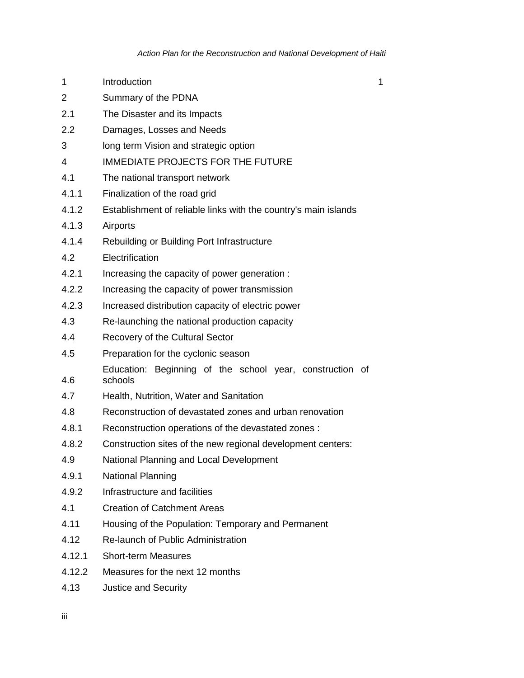- 1 Introduction 2007 1
- 2 Summary of the PDNA
- 2.1 The Disaster and its Impacts
- 2.2 Damages, Losses and Needs
- 3 long term Vision and strategic option
- 4 IMMEDIATE PROJECTS FOR THE FUTURE
- 4.1 The national transport network
- 4.1.1 Finalization of the road grid
- 4.1.2 Establishment of reliable links with the country's main islands
- 4.1.3 Airports
- 4.1.4 Rebuilding or Building Port Infrastructure
- 4.2 Electrification
- 4.2.1 Increasing the capacity of power generation :
- 4.2.2 Increasing the capacity of power transmission
- 4.2.3 Increased distribution capacity of electric power
- 4.3 Re-launching the national production capacity
- 4.4 Recovery of the Cultural Sector
- 4.5 Preparation for the cyclonic season
- 4.6 Education: Beginning of the school year, construction of schools
- 4.7 Health, Nutrition, Water and Sanitation
- 4.8 Reconstruction of devastated zones and urban renovation
- 4.8.1 Reconstruction operations of the devastated zones :
- 4.8.2 Construction sites of the new regional development centers:
- 4.9 National Planning and Local Development
- 4.9.1 National Planning
- 4.9.2 Infrastructure and facilities
- 4.1 Creation of Catchment Areas
- 4.11 Housing of the Population: Temporary and Permanent
- 4.12 Re-launch of Public Administration
- 4.12.1 Short-term Measures
- 4.12.2 Measures for the next 12 months
- 4.13 Justice and Security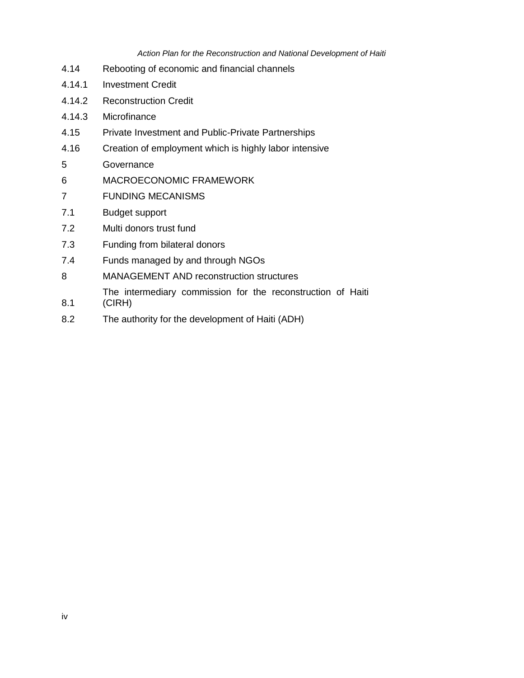#### *Action Plan for the Reconstruction and National Development of Haiti*

- 4.14 Rebooting of economic and financial channels
- 4.14.1 Investment Credit
- 4.14.2 Reconstruction Credit
- 4.14.3 Microfinance
- 4.15 Private Investment and Public-Private Partnerships
- 4.16 Creation of employment which is highly labor intensive
- 5 Governance
- 6 MACROECONOMIC FRAMEWORK
- 7 FUNDING MECANISMS
- 7.1 Budget support
- 7.2 Multi donors trust fund
- 7.3 Funding from bilateral donors
- 7.4 Funds managed by and through NGOs
- 8 MANAGEMENT AND reconstruction structures
	- The intermediary commission for the reconstruction of Haiti
- 8.1 (CIRH)
- 8.2 The authority for the development of Haiti (ADH)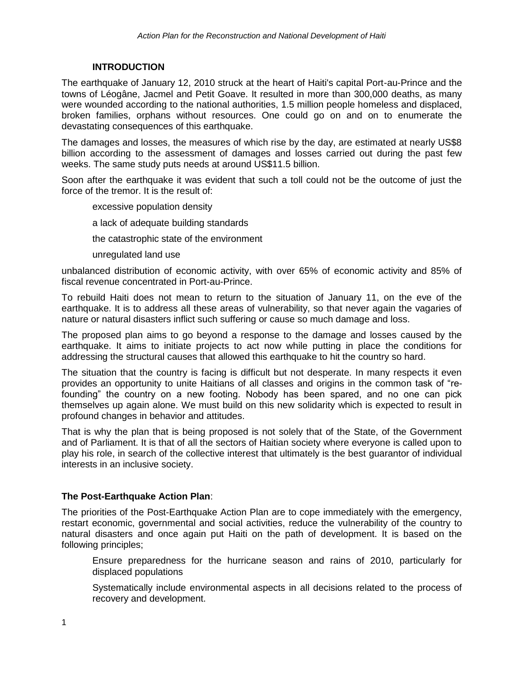# **INTRODUCTION**

The earthquake of January 12, 2010 struck at the heart of Haiti's capital Port-au-Prince and the towns of Léogâne, Jacmel and Petit Goave. It resulted in more than 300,000 deaths, as many were wounded according to the national authorities, 1.5 million people homeless and displaced, broken families, orphans without resources. One could go on and on to enumerate the devastating consequences of this earthquake.

The damages and losses, the measures of which rise by the day, are estimated at nearly US\$8 billion according to the assessment of damages and losses carried out during the past few weeks. The same study puts needs at around US\$11.5 billion.

Soon after the earthquake it was evident that such a toll could not be the outcome of just the force of the tremor. It is the result of:

excessive population density

a lack of adequate building standards

the catastrophic state of the environment

unregulated land use

unbalanced distribution of economic activity, with over 65% of economic activity and 85% of fiscal revenue concentrated in Port-au-Prince.

To rebuild Haiti does not mean to return to the situation of January 11, on the eve of the earthquake. It is to address all these areas of vulnerability, so that never again the vagaries of nature or natural disasters inflict such suffering or cause so much damage and loss.

The proposed plan aims to go beyond a response to the damage and losses caused by the earthquake. It aims to initiate projects to act now while putting in place the conditions for addressing the structural causes that allowed this earthquake to hit the country so hard.

The situation that the country is facing is difficult but not desperate. In many respects it even provides an opportunity to unite Haitians of all classes and origins in the common task of "refounding" the country on a new footing. Nobody has been spared, and no one can pick themselves up again alone. We must build on this new solidarity which is expected to result in profound changes in behavior and attitudes.

That is why the plan that is being proposed is not solely that of the State, of the Government and of Parliament. It is that of all the sectors of Haitian society where everyone is called upon to play his role, in search of the collective interest that ultimately is the best guarantor of individual interests in an inclusive society.

# **The Post-Earthquake Action Plan**:

The priorities of the Post-Earthquake Action Plan are to cope immediately with the emergency, restart economic, governmental and social activities, reduce the vulnerability of the country to natural disasters and once again put Haiti on the path of development. It is based on the following principles;

Ensure preparedness for the hurricane season and rains of 2010, particularly for displaced populations

Systematically include environmental aspects in all decisions related to the process of recovery and development.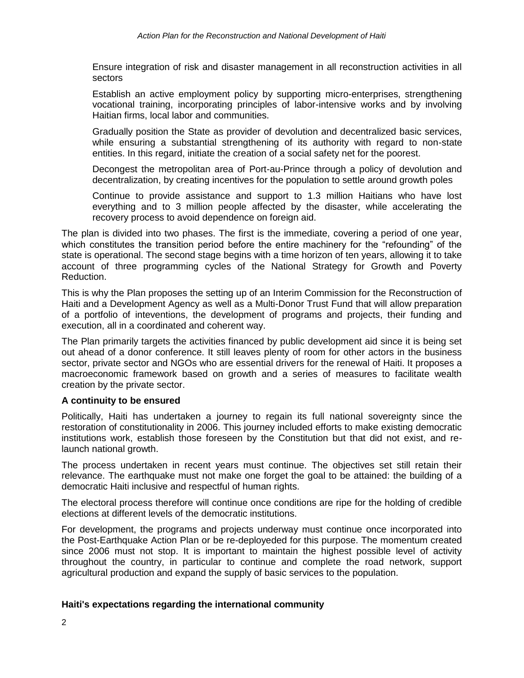Ensure integration of risk and disaster management in all reconstruction activities in all sectors

Establish an active employment policy by supporting micro-enterprises, strengthening vocational training, incorporating principles of labor-intensive works and by involving Haitian firms, local labor and communities.

Gradually position the State as provider of devolution and decentralized basic services, while ensuring a substantial strengthening of its authority with regard to non-state entities. In this regard, initiate the creation of a social safety net for the poorest.

Decongest the metropolitan area of Port-au-Prince through a policy of devolution and decentralization, by creating incentives for the population to settle around growth poles

Continue to provide assistance and support to 1.3 million Haitians who have lost everything and to 3 million people affected by the disaster, while accelerating the recovery process to avoid dependence on foreign aid.

The plan is divided into two phases. The first is the immediate, covering a period of one year, which constitutes the transition period before the entire machinery for the "refounding" of the state is operational. The second stage begins with a time horizon of ten years, allowing it to take account of three programming cycles of the National Strategy for Growth and Poverty Reduction.

This is why the Plan proposes the setting up of an Interim Commission for the Reconstruction of Haiti and a Development Agency as well as a Multi-Donor Trust Fund that will allow preparation of a portfolio of inteventions, the development of programs and projects, their funding and execution, all in a coordinated and coherent way.

The Plan primarily targets the activities financed by public development aid since it is being set out ahead of a donor conference. It still leaves plenty of room for other actors in the business sector, private sector and NGOs who are essential drivers for the renewal of Haiti. It proposes a macroeconomic framework based on growth and a series of measures to facilitate wealth creation by the private sector.

# **A continuity to be ensured**

Politically, Haiti has undertaken a journey to regain its full national sovereignty since the restoration of constitutionality in 2006. This journey included efforts to make existing democratic institutions work, establish those foreseen by the Constitution but that did not exist, and relaunch national growth.

The process undertaken in recent years must continue. The objectives set still retain their relevance. The earthquake must not make one forget the goal to be attained: the building of a democratic Haiti inclusive and respectful of human rights.

The electoral process therefore will continue once conditions are ripe for the holding of credible elections at different levels of the democratic institutions.

For development, the programs and projects underway must continue once incorporated into the Post-Earthquake Action Plan or be re-deployeded for this purpose. The momentum created since 2006 must not stop. It is important to maintain the highest possible level of activity throughout the country, in particular to continue and complete the road network, support agricultural production and expand the supply of basic services to the population.

#### **Haiti's expectations regarding the international community**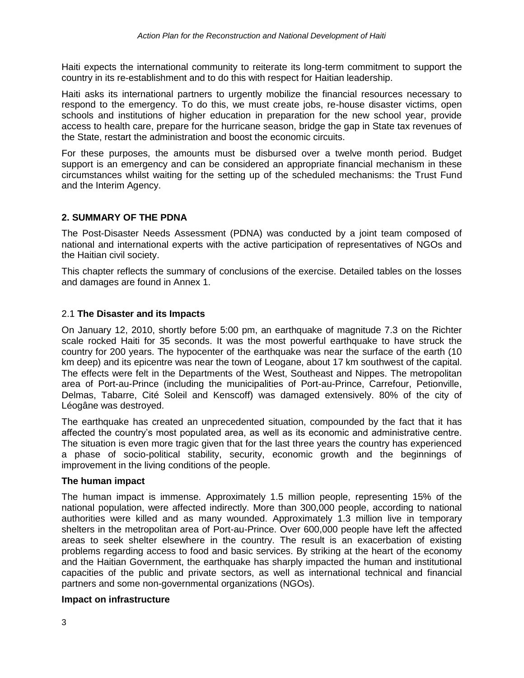Haiti expects the international community to reiterate its long-term commitment to support the country in its re-establishment and to do this with respect for Haitian leadership.

Haiti asks its international partners to urgently mobilize the financial resources necessary to respond to the emergency. To do this, we must create jobs, re-house disaster victims, open schools and institutions of higher education in preparation for the new school year, provide access to health care, prepare for the hurricane season, bridge the gap in State tax revenues of the State, restart the administration and boost the economic circuits.

For these purposes, the amounts must be disbursed over a twelve month period. Budget support is an emergency and can be considered an appropriate financial mechanism in these circumstances whilst waiting for the setting up of the scheduled mechanisms: the Trust Fund and the Interim Agency.

# **2. SUMMARY OF THE PDNA**

The Post-Disaster Needs Assessment (PDNA) was conducted by a joint team composed of national and international experts with the active participation of representatives of NGOs and the Haitian civil society.

This chapter reflects the summary of conclusions of the exercise. Detailed tables on the losses and damages are found in Annex 1.

# 2.1 **The Disaster and its Impacts**

On January 12, 2010, shortly before 5:00 pm, an earthquake of magnitude 7.3 on the Richter scale rocked Haiti for 35 seconds. It was the most powerful earthquake to have struck the country for 200 years. The hypocenter of the earthquake was near the surface of the earth (10 km deep) and its epicentre was near the town of Leogane, about 17 km southwest of the capital. The effects were felt in the Departments of the West, Southeast and Nippes. The metropolitan area of Port-au-Prince (including the municipalities of Port-au-Prince, Carrefour, Petionville, Delmas, Tabarre, Cité Soleil and Kenscoff) was damaged extensively. 80% of the city of Léogâne was destroyed.

The earthquake has created an unprecedented situation, compounded by the fact that it has affected the country's most populated area, as well as its economic and administrative centre. The situation is even more tragic given that for the last three years the country has experienced a phase of socio-political stability, security, economic growth and the beginnings of improvement in the living conditions of the people.

# **The human impact**

The human impact is immense. Approximately 1.5 million people, representing 15% of the national population, were affected indirectly. More than 300,000 people, according to national authorities were killed and as many wounded. Approximately 1.3 million live in temporary shelters in the metropolitan area of Port-au-Prince. Over 600,000 people have left the affected areas to seek shelter elsewhere in the country. The result is an exacerbation of existing problems regarding access to food and basic services. By striking at the heart of the economy and the Haitian Government, the earthquake has sharply impacted the human and institutional capacities of the public and private sectors, as well as international technical and financial partners and some non-governmental organizations (NGOs).

#### **Impact on infrastructure**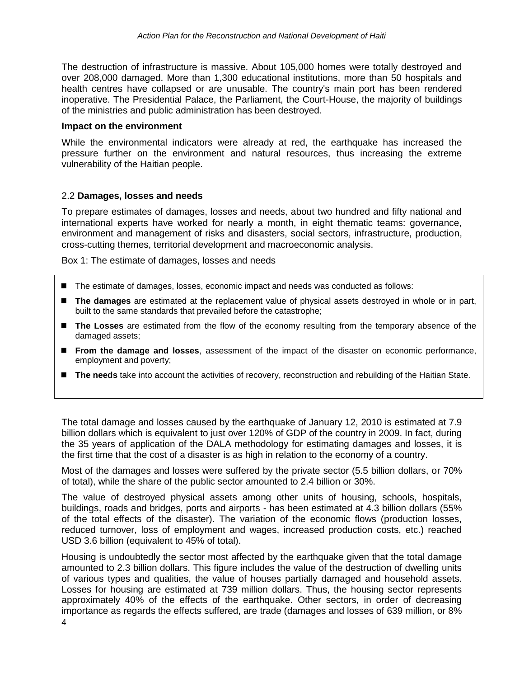The destruction of infrastructure is massive. About 105,000 homes were totally destroyed and over 208,000 damaged. More than 1,300 educational institutions, more than 50 hospitals and health centres have collapsed or are unusable. The country's main port has been rendered inoperative. The Presidential Palace, the Parliament, the Court-House, the majority of buildings of the ministries and public administration has been destroyed.

#### **Impact on the environment**

While the environmental indicators were already at red, the earthquake has increased the pressure further on the environment and natural resources, thus increasing the extreme vulnerability of the Haitian people.

# 2.2 **Damages, losses and needs**

To prepare estimates of damages, losses and needs, about two hundred and fifty national and international experts have worked for nearly a month, in eight thematic teams: governance, environment and management of risks and disasters, social sectors, infrastructure, production, cross-cutting themes, territorial development and macroeconomic analysis.

Box 1: The estimate of damages, losses and needs

- The estimate of damages, losses, economic impact and needs was conducted as follows:
- **The damages** are estimated at the replacement value of physical assets destroyed in whole or in part, built to the same standards that prevailed before the catastrophe;
- **The Losses** are estimated from the flow of the economy resulting from the temporary absence of the damaged assets;
- **From the damage and losses**, assessment of the impact of the disaster on economic performance, employment and poverty;
- The needs take into account the activities of recovery, reconstruction and rebuilding of the Haitian State.

The total damage and losses caused by the earthquake of January 12, 2010 is estimated at 7.9 billion dollars which is equivalent to just over 120% of GDP of the country in 2009. In fact, during the 35 years of application of the DALA methodology for estimating damages and losses, it is the first time that the cost of a disaster is as high in relation to the economy of a country.

Most of the damages and losses were suffered by the private sector (5.5 billion dollars, or 70% of total), while the share of the public sector amounted to 2.4 billion or 30%.

The value of destroyed physical assets among other units of housing, schools, hospitals, buildings, roads and bridges, ports and airports - has been estimated at 4.3 billion dollars (55% of the total effects of the disaster). The variation of the economic flows (production losses, reduced turnover, loss of employment and wages, increased production costs, etc.) reached USD 3.6 billion (equivalent to 45% of total).

4 Housing is undoubtedly the sector most affected by the earthquake given that the total damage amounted to 2.3 billion dollars. This figure includes the value of the destruction of dwelling units of various types and qualities, the value of houses partially damaged and household assets. Losses for housing are estimated at 739 million dollars. Thus, the housing sector represents approximately 40% of the effects of the earthquake. Other sectors, in order of decreasing importance as regards the effects suffered, are trade (damages and losses of 639 million, or 8%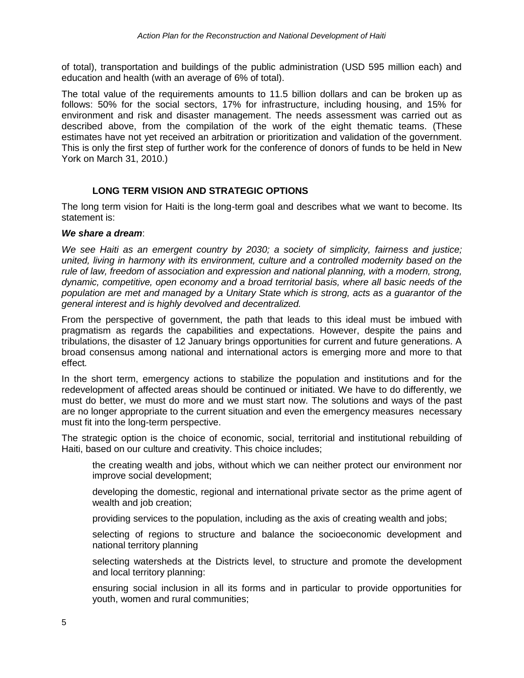of total), transportation and buildings of the public administration (USD 595 million each) and education and health (with an average of 6% of total).

The total value of the requirements amounts to 11.5 billion dollars and can be broken up as follows: 50% for the social sectors, 17% for infrastructure, including housing, and 15% for environment and risk and disaster management. The needs assessment was carried out as described above, from the compilation of the work of the eight thematic teams. (These estimates have not yet received an arbitration or prioritization and validation of the government. This is only the first step of further work for the conference of donors of funds to be held in New York on March 31, 2010.)

# **LONG TERM VISION AND STRATEGIC OPTIONS**

The long term vision for Haiti is the long-term goal and describes what we want to become. Its statement is:

### *We share a dream*:

*We see Haiti as an emergent country by 2030; a society of simplicity, fairness and justice; united, living in harmony with its environment, culture and a controlled modernity based on the rule of law, freedom of association and expression and national planning, with a modern, strong, dynamic, competitive, open economy and a broad territorial basis, where all basic needs of the population are met and managed by a Unitary State which is strong, acts as a guarantor of the general interest and is highly devolved and decentralized.*

From the perspective of government, the path that leads to this ideal must be imbued with pragmatism as regards the capabilities and expectations. However, despite the pains and tribulations, the disaster of 12 January brings opportunities for current and future generations. A broad consensus among national and international actors is emerging more and more to that effect*.* 

In the short term, emergency actions to stabilize the population and institutions and for the redevelopment of affected areas should be continued or initiated. We have to do differently, we must do better, we must do more and we must start now. The solutions and ways of the past are no longer appropriate to the current situation and even the emergency measures necessary must fit into the long-term perspective.

The strategic option is the choice of economic, social, territorial and institutional rebuilding of Haiti, based on our culture and creativity. This choice includes;

the creating wealth and jobs, without which we can neither protect our environment nor improve social development;

developing the domestic, regional and international private sector as the prime agent of wealth and job creation;

providing services to the population, including as the axis of creating wealth and jobs;

selecting of regions to structure and balance the socioeconomic development and national territory planning

selecting watersheds at the Districts level, to structure and promote the development and local territory planning:

ensuring social inclusion in all its forms and in particular to provide opportunities for youth, women and rural communities;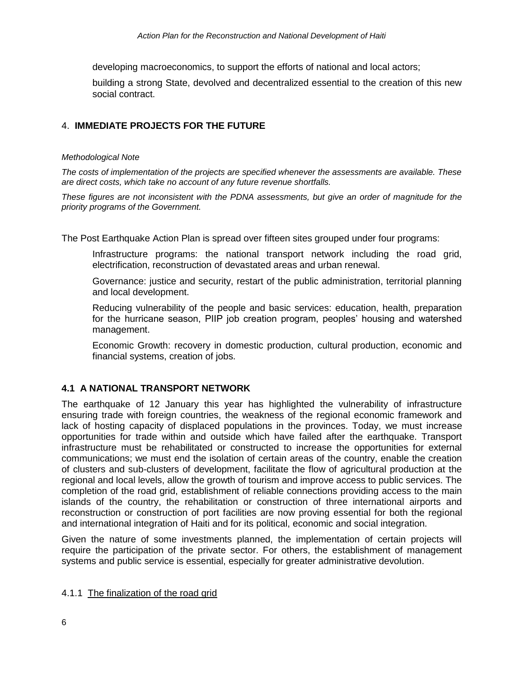developing macroeconomics, to support the efforts of national and local actors;

building a strong State, devolved and decentralized essential to the creation of this new social contract.

# 4. **IMMEDIATE PROJECTS FOR THE FUTURE**

#### *Methodological Note*

*The costs of implementation of the projects are specified whenever the assessments are available. These are direct costs, which take no account of any future revenue shortfalls.*

*These figures are not inconsistent with the PDNA assessments, but give an order of magnitude for the priority programs of the Government.*

The Post Earthquake Action Plan is spread over fifteen sites grouped under four programs:

Infrastructure programs: the national transport network including the road grid, electrification, reconstruction of devastated areas and urban renewal.

Governance: justice and security, restart of the public administration, territorial planning and local development.

Reducing vulnerability of the people and basic services: education, health, preparation for the hurricane season, PIIP job creation program, peoples' housing and watershed management.

Economic Growth: recovery in domestic production, cultural production, economic and financial systems, creation of jobs.

# **4.1 A NATIONAL TRANSPORT NETWORK**

The earthquake of 12 January this year has highlighted the vulnerability of infrastructure ensuring trade with foreign countries, the weakness of the regional economic framework and lack of hosting capacity of displaced populations in the provinces. Today, we must increase opportunities for trade within and outside which have failed after the earthquake. Transport infrastructure must be rehabilitated or constructed to increase the opportunities for external communications; we must end the isolation of certain areas of the country, enable the creation of clusters and sub-clusters of development, facilitate the flow of agricultural production at the regional and local levels, allow the growth of tourism and improve access to public services. The completion of the road grid, establishment of reliable connections providing access to the main islands of the country, the rehabilitation or construction of three international airports and reconstruction or construction of port facilities are now proving essential for both the regional and international integration of Haiti and for its political, economic and social integration.

Given the nature of some investments planned, the implementation of certain projects will require the participation of the private sector. For others, the establishment of management systems and public service is essential, especially for greater administrative devolution.

#### 4.1.1 The finalization of the road grid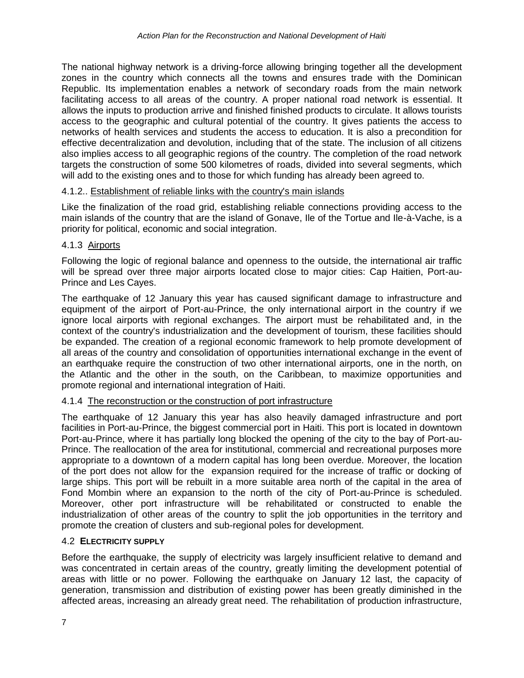The national highway network is a driving-force allowing bringing together all the development zones in the country which connects all the towns and ensures trade with the Dominican Republic. Its implementation enables a network of secondary roads from the main network facilitating access to all areas of the country. A proper national road network is essential. It allows the inputs to production arrive and finished finished products to circulate. It allows tourists access to the geographic and cultural potential of the country. It gives patients the access to networks of health services and students the access to education. It is also a precondition for effective decentralization and devolution, including that of the state. The inclusion of all citizens also implies access to all geographic regions of the country. The completion of the road network targets the construction of some 500 kilometres of roads, divided into several segments, which will add to the existing ones and to those for which funding has already been agreed to.

# 4.1.2.. Establishment of reliable links with the country's main islands

Like the finalization of the road grid, establishing reliable connections providing access to the main islands of the country that are the island of Gonave, Ile of the Tortue and Ile-à-Vache, is a priority for political, economic and social integration.

### 4.1.3 Airports

Following the logic of regional balance and openness to the outside, the international air traffic will be spread over three major airports located close to major cities: Cap Haitien, Port-au-Prince and Les Cayes.

The earthquake of 12 January this year has caused significant damage to infrastructure and equipment of the airport of Port-au-Prince, the only international airport in the country if we ignore local airports with regional exchanges. The airport must be rehabilitated and, in the context of the country's industrialization and the development of tourism, these facilities should be expanded. The creation of a regional economic framework to help promote development of all areas of the country and consolidation of opportunities international exchange in the event of an earthquake require the construction of two other international airports, one in the north, on the Atlantic and the other in the south, on the Caribbean, to maximize opportunities and promote regional and international integration of Haiti.

#### 4.1.4 The reconstruction or the construction of port infrastructure

The earthquake of 12 January this year has also heavily damaged infrastructure and port facilities in Port-au-Prince, the biggest commercial port in Haiti. This port is located in downtown Port-au-Prince, where it has partially long blocked the opening of the city to the bay of Port-au-Prince. The reallocation of the area for institutional, commercial and recreational purposes more appropriate to a downtown of a modern capital has long been overdue. Moreover, the location of the port does not allow for the expansion required for the increase of traffic or docking of large ships. This port will be rebuilt in a more suitable area north of the capital in the area of Fond Mombin where an expansion to the north of the city of Port-au-Prince is scheduled. Moreover, other port infrastructure will be rehabilitated or constructed to enable the industrialization of other areas of the country to split the job opportunities in the territory and promote the creation of clusters and sub-regional poles for development.

#### 4.2 **ELECTRICITY SUPPLY**

Before the earthquake, the supply of electricity was largely insufficient relative to demand and was concentrated in certain areas of the country, greatly limiting the development potential of areas with little or no power. Following the earthquake on January 12 last, the capacity of generation, transmission and distribution of existing power has been greatly diminished in the affected areas, increasing an already great need. The rehabilitation of production infrastructure,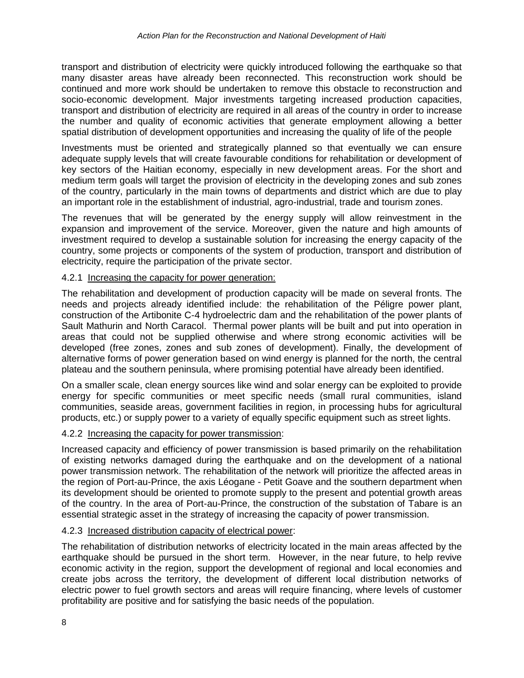transport and distribution of electricity were quickly introduced following the earthquake so that many disaster areas have already been reconnected. This reconstruction work should be continued and more work should be undertaken to remove this obstacle to reconstruction and socio-economic development. Major investments targeting increased production capacities, transport and distribution of electricity are required in all areas of the country in order to increase the number and quality of economic activities that generate employment allowing a better spatial distribution of development opportunities and increasing the quality of life of the people

Investments must be oriented and strategically planned so that eventually we can ensure adequate supply levels that will create favourable conditions for rehabilitation or development of key sectors of the Haitian economy, especially in new development areas. For the short and medium term goals will target the provision of electricity in the developing zones and sub zones of the country, particularly in the main towns of departments and district which are due to play an important role in the establishment of industrial, agro-industrial, trade and tourism zones.

The revenues that will be generated by the energy supply will allow reinvestment in the expansion and improvement of the service. Moreover, given the nature and high amounts of investment required to develop a sustainable solution for increasing the energy capacity of the country, some projects or components of the system of production, transport and distribution of electricity, require the participation of the private sector.

### 4.2.1 Increasing the capacity for power generation:

The rehabilitation and development of production capacity will be made on several fronts. The needs and projects already identified include: the rehabilitation of the Péligre power plant, construction of the Artibonite C-4 hydroelectric dam and the rehabilitation of the power plants of Sault Mathurin and North Caracol. Thermal power plants will be built and put into operation in areas that could not be supplied otherwise and where strong economic activities will be developed (free zones, zones and sub zones of development). Finally, the development of alternative forms of power generation based on wind energy is planned for the north, the central plateau and the southern peninsula, where promising potential have already been identified.

On a smaller scale, clean energy sources like wind and solar energy can be exploited to provide energy for specific communities or meet specific needs (small rural communities, island communities, seaside areas, government facilities in region, in processing hubs for agricultural products, etc.) or supply power to a variety of equally specific equipment such as street lights.

# 4.2.2 Increasing the capacity for power transmission:

Increased capacity and efficiency of power transmission is based primarily on the rehabilitation of existing networks damaged during the earthquake and on the development of a national power transmission network. The rehabilitation of the network will prioritize the affected areas in the region of Port-au-Prince, the axis Léogane - Petit Goave and the southern department when its development should be oriented to promote supply to the present and potential growth areas of the country. In the area of Port-au-Prince, the construction of the substation of Tabare is an essential strategic asset in the strategy of increasing the capacity of power transmission.

# 4.2.3 Increased distribution capacity of electrical power:

The rehabilitation of distribution networks of electricity located in the main areas affected by the earthquake should be pursued in the short term. However, in the near future, to help revive economic activity in the region, support the development of regional and local economies and create jobs across the territory, the development of different local distribution networks of electric power to fuel growth sectors and areas will require financing, where levels of customer profitability are positive and for satisfying the basic needs of the population.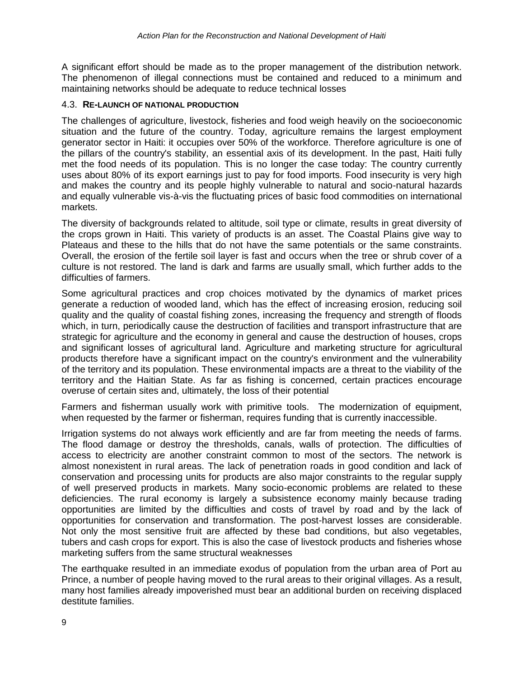A significant effort should be made as to the proper management of the distribution network. The phenomenon of illegal connections must be contained and reduced to a minimum and maintaining networks should be adequate to reduce technical losses

#### 4.3. **RE-LAUNCH OF NATIONAL PRODUCTION**

The challenges of agriculture, livestock, fisheries and food weigh heavily on the socioeconomic situation and the future of the country. Today, agriculture remains the largest employment generator sector in Haiti: it occupies over 50% of the workforce. Therefore agriculture is one of the pillars of the country's stability, an essential axis of its development. In the past, Haiti fully met the food needs of its population. This is no longer the case today: The country currently uses about 80% of its export earnings just to pay for food imports. Food insecurity is very high and makes the country and its people highly vulnerable to natural and socio-natural hazards and equally vulnerable vis-à-vis the fluctuating prices of basic food commodities on international markets.

The diversity of backgrounds related to altitude, soil type or climate, results in great diversity of the crops grown in Haiti. This variety of products is an asset. The Coastal Plains give way to Plateaus and these to the hills that do not have the same potentials or the same constraints. Overall, the erosion of the fertile soil layer is fast and occurs when the tree or shrub cover of a culture is not restored. The land is dark and farms are usually small, which further adds to the difficulties of farmers.

Some agricultural practices and crop choices motivated by the dynamics of market prices generate a reduction of wooded land, which has the effect of increasing erosion, reducing soil quality and the quality of coastal fishing zones, increasing the frequency and strength of floods which, in turn, periodically cause the destruction of facilities and transport infrastructure that are strategic for agriculture and the economy in general and cause the destruction of houses, crops and significant losses of agricultural land. Agriculture and marketing structure for agricultural products therefore have a significant impact on the country's environment and the vulnerability of the territory and its population. These environmental impacts are a threat to the viability of the territory and the Haitian State. As far as fishing is concerned, certain practices encourage overuse of certain sites and, ultimately, the loss of their potential

Farmers and fisherman usually work with primitive tools. The modernization of equipment, when requested by the farmer or fisherman, requires funding that is currently inaccessible.

Irrigation systems do not always work efficiently and are far from meeting the needs of farms. The flood damage or destroy the thresholds, canals, walls of protection. The difficulties of access to electricity are another constraint common to most of the sectors. The network is almost nonexistent in rural areas. The lack of penetration roads in good condition and lack of conservation and processing units for products are also major constraints to the regular supply of well preserved products in markets. Many socio-economic problems are related to these deficiencies. The rural economy is largely a subsistence economy mainly because trading opportunities are limited by the difficulties and costs of travel by road and by the lack of opportunities for conservation and transformation. The post-harvest losses are considerable. Not only the most sensitive fruit are affected by these bad conditions, but also vegetables, tubers and cash crops for export. This is also the case of livestock products and fisheries whose marketing suffers from the same structural weaknesses

The earthquake resulted in an immediate exodus of population from the urban area of Port au Prince, a number of people having moved to the rural areas to their original villages. As a result, many host families already impoverished must bear an additional burden on receiving displaced destitute families.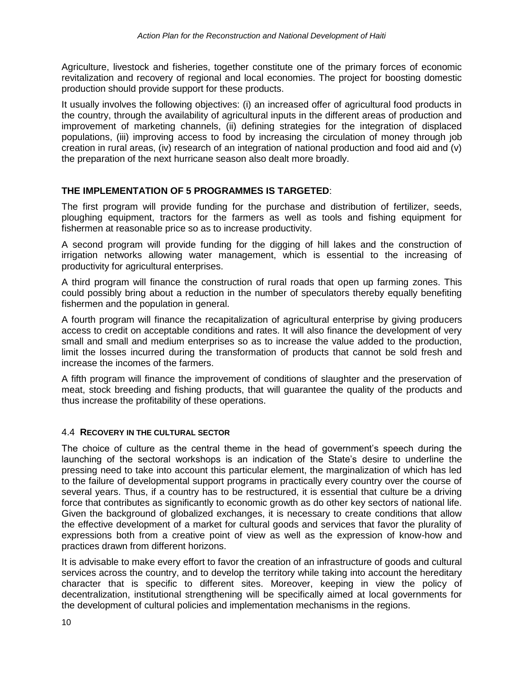Agriculture, livestock and fisheries, together constitute one of the primary forces of economic revitalization and recovery of regional and local economies. The project for boosting domestic production should provide support for these products.

It usually involves the following objectives: (i) an increased offer of agricultural food products in the country, through the availability of agricultural inputs in the different areas of production and improvement of marketing channels, (ii) defining strategies for the integration of displaced populations, (iii) improving access to food by increasing the circulation of money through job creation in rural areas, (iv) research of an integration of national production and food aid and (v) the preparation of the next hurricane season also dealt more broadly.

# **THE IMPLEMENTATION OF 5 PROGRAMMES IS TARGETED**:

The first program will provide funding for the purchase and distribution of fertilizer, seeds, ploughing equipment, tractors for the farmers as well as tools and fishing equipment for fishermen at reasonable price so as to increase productivity.

A second program will provide funding for the digging of hill lakes and the construction of irrigation networks allowing water management, which is essential to the increasing of productivity for agricultural enterprises.

A third program will finance the construction of rural roads that open up farming zones. This could possibly bring about a reduction in the number of speculators thereby equally benefiting fishermen and the population in general.

A fourth program will finance the recapitalization of agricultural enterprise by giving producers access to credit on acceptable conditions and rates. It will also finance the development of very small and small and medium enterprises so as to increase the value added to the production, limit the losses incurred during the transformation of products that cannot be sold fresh and increase the incomes of the farmers.

A fifth program will finance the improvement of conditions of slaughter and the preservation of meat, stock breeding and fishing products, that will guarantee the quality of the products and thus increase the profitability of these operations.

# 4.4 **RECOVERY IN THE CULTURAL SECTOR**

The choice of culture as the central theme in the head of government's speech during the launching of the sectoral workshops is an indication of the State's desire to underline the pressing need to take into account this particular element, the marginalization of which has led to the failure of developmental support programs in practically every country over the course of several years. Thus, if a country has to be restructured, it is essential that culture be a driving force that contributes as significantly to economic growth as do other key sectors of national life. Given the background of globalized exchanges, it is necessary to create conditions that allow the effective development of a market for cultural goods and services that favor the plurality of expressions both from a creative point of view as well as the expression of know-how and practices drawn from different horizons.

It is advisable to make every effort to favor the creation of an infrastructure of goods and cultural services across the country, and to develop the territory while taking into account the hereditary character that is specific to different sites. Moreover, keeping in view the policy of decentralization, institutional strengthening will be specifically aimed at local governments for the development of cultural policies and implementation mechanisms in the regions.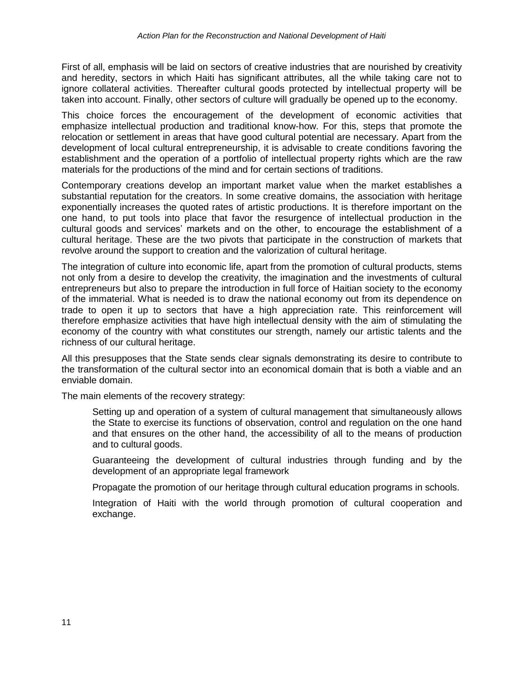First of all, emphasis will be laid on sectors of creative industries that are nourished by creativity and heredity, sectors in which Haiti has significant attributes, all the while taking care not to ignore collateral activities. Thereafter cultural goods protected by intellectual property will be taken into account. Finally, other sectors of culture will gradually be opened up to the economy.

This choice forces the encouragement of the development of economic activities that emphasize intellectual production and traditional know-how. For this, steps that promote the relocation or settlement in areas that have good cultural potential are necessary. Apart from the development of local cultural entrepreneurship, it is advisable to create conditions favoring the establishment and the operation of a portfolio of intellectual property rights which are the raw materials for the productions of the mind and for certain sections of traditions.

Contemporary creations develop an important market value when the market establishes a substantial reputation for the creators. In some creative domains, the association with heritage exponentially increases the quoted rates of artistic productions. It is therefore important on the one hand, to put tools into place that favor the resurgence of intellectual production in the cultural goods and services' markets and on the other, to encourage the establishment of a cultural heritage. These are the two pivots that participate in the construction of markets that revolve around the support to creation and the valorization of cultural heritage.

The integration of culture into economic life, apart from the promotion of cultural products, stems not only from a desire to develop the creativity, the imagination and the investments of cultural entrepreneurs but also to prepare the introduction in full force of Haitian society to the economy of the immaterial. What is needed is to draw the national economy out from its dependence on trade to open it up to sectors that have a high appreciation rate. This reinforcement will therefore emphasize activities that have high intellectual density with the aim of stimulating the economy of the country with what constitutes our strength, namely our artistic talents and the richness of our cultural heritage.

All this presupposes that the State sends clear signals demonstrating its desire to contribute to the transformation of the cultural sector into an economical domain that is both a viable and an enviable domain.

The main elements of the recovery strategy:

Setting up and operation of a system of cultural management that simultaneously allows the State to exercise its functions of observation, control and regulation on the one hand and that ensures on the other hand, the accessibility of all to the means of production and to cultural goods.

Guaranteeing the development of cultural industries through funding and by the development of an appropriate legal framework

Propagate the promotion of our heritage through cultural education programs in schools.

Integration of Haiti with the world through promotion of cultural cooperation and exchange.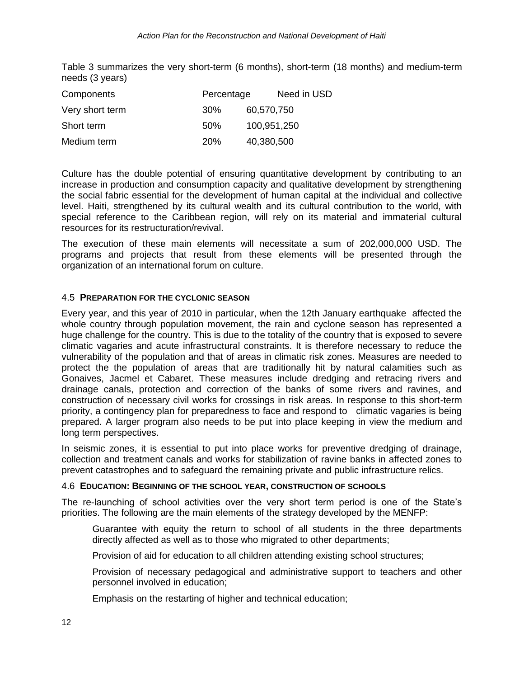Table 3 summarizes the very short-term (6 months), short-term (18 months) and medium-term needs (3 years)

| Components      | Percentage |             | Need in USD |
|-----------------|------------|-------------|-------------|
| Very short term | <b>30%</b> | 60,570,750  |             |
| Short term      | 50%        | 100,951,250 |             |
| Medium term     | <b>20%</b> | 40,380,500  |             |

Culture has the double potential of ensuring quantitative development by contributing to an increase in production and consumption capacity and qualitative development by strengthening the social fabric essential for the development of human capital at the individual and collective level. Haiti, strengthened by its cultural wealth and its cultural contribution to the world, with special reference to the Caribbean region, will rely on its material and immaterial cultural resources for its restructuration/revival.

The execution of these main elements will necessitate a sum of 202,000,000 USD. The programs and projects that result from these elements will be presented through the organization of an international forum on culture.

# 4.5 **PREPARATION FOR THE CYCLONIC SEASON**

Every year, and this year of 2010 in particular, when the 12th January earthquake affected the whole country through population movement, the rain and cyclone season has represented a huge challenge for the country. This is due to the totality of the country that is exposed to severe climatic vagaries and acute infrastructural constraints. It is therefore necessary to reduce the vulnerability of the population and that of areas in climatic risk zones. Measures are needed to protect the the population of areas that are traditionally hit by natural calamities such as Gonaives, Jacmel et Cabaret. These measures include dredging and retracing rivers and drainage canals, protection and correction of the banks of some rivers and ravines, and construction of necessary civil works for crossings in risk areas. In response to this short-term priority, a contingency plan for preparedness to face and respond to climatic vagaries is being prepared. A larger program also needs to be put into place keeping in view the medium and long term perspectives.

In seismic zones, it is essential to put into place works for preventive dredging of drainage, collection and treatment canals and works for stabilization of ravine banks in affected zones to prevent catastrophes and to safeguard the remaining private and public infrastructure relics.

# 4.6 **EDUCATION: BEGINNING OF THE SCHOOL YEAR, CONSTRUCTION OF SCHOOLS**

The re-launching of school activities over the very short term period is one of the State's priorities. The following are the main elements of the strategy developed by the MENFP:

Guarantee with equity the return to school of all students in the three departments directly affected as well as to those who migrated to other departments;

Provision of aid for education to all children attending existing school structures;

Provision of necessary pedagogical and administrative support to teachers and other personnel involved in education;

Emphasis on the restarting of higher and technical education;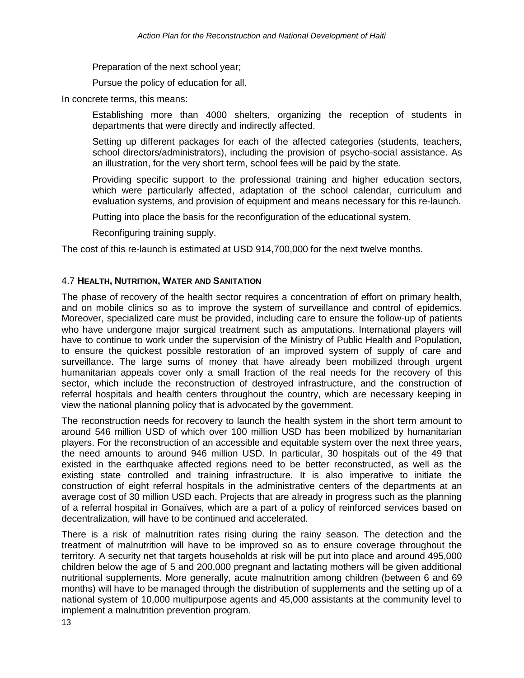Preparation of the next school year;

Pursue the policy of education for all.

In concrete terms, this means:

Establishing more than 4000 shelters, organizing the reception of students in departments that were directly and indirectly affected.

Setting up different packages for each of the affected categories (students, teachers, school directors/administrators), including the provision of psycho-social assistance. As an illustration, for the very short term, school fees will be paid by the state.

Providing specific support to the professional training and higher education sectors, which were particularly affected, adaptation of the school calendar, curriculum and evaluation systems, and provision of equipment and means necessary for this re-launch.

Putting into place the basis for the reconfiguration of the educational system.

Reconfiguring training supply.

The cost of this re-launch is estimated at USD 914,700,000 for the next twelve months.

### 4.7 **HEALTH, NUTRITION, WATER AND SANITATION**

The phase of recovery of the health sector requires a concentration of effort on primary health, and on mobile clinics so as to improve the system of surveillance and control of epidemics. Moreover, specialized care must be provided, including care to ensure the follow-up of patients who have undergone major surgical treatment such as amputations. International players will have to continue to work under the supervision of the Ministry of Public Health and Population, to ensure the quickest possible restoration of an improved system of supply of care and surveillance. The large sums of money that have already been mobilized through urgent humanitarian appeals cover only a small fraction of the real needs for the recovery of this sector, which include the reconstruction of destroyed infrastructure, and the construction of referral hospitals and health centers throughout the country, which are necessary keeping in view the national planning policy that is advocated by the government.

The reconstruction needs for recovery to launch the health system in the short term amount to around 546 million USD of which over 100 million USD has been mobilized by humanitarian players. For the reconstruction of an accessible and equitable system over the next three years, the need amounts to around 946 million USD. In particular, 30 hospitals out of the 49 that existed in the earthquake affected regions need to be better reconstructed, as well as the existing state controlled and training infrastructure. It is also imperative to initiate the construction of eight referral hospitals in the administrative centers of the departments at an average cost of 30 million USD each. Projects that are already in progress such as the planning of a referral hospital in Gonaïves, which are a part of a policy of reinforced services based on decentralization, will have to be continued and accelerated.

There is a risk of malnutrition rates rising during the rainy season. The detection and the treatment of malnutrition will have to be improved so as to ensure coverage throughout the territory. A security net that targets households at risk will be put into place and around 495,000 children below the age of 5 and 200,000 pregnant and lactating mothers will be given additional nutritional supplements. More generally, acute malnutrition among children (between 6 and 69 months) will have to be managed through the distribution of supplements and the setting up of a national system of 10,000 multipurpose agents and 45,000 assistants at the community level to implement a malnutrition prevention program.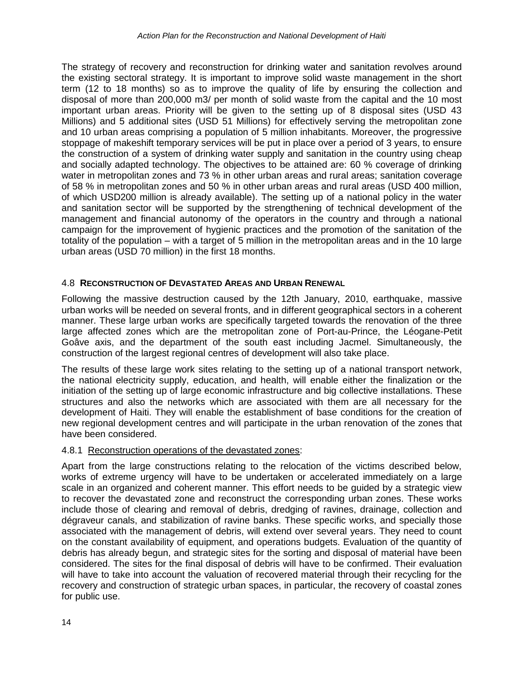The strategy of recovery and reconstruction for drinking water and sanitation revolves around the existing sectoral strategy. It is important to improve solid waste management in the short term (12 to 18 months) so as to improve the quality of life by ensuring the collection and disposal of more than 200,000 m3/ per month of solid waste from the capital and the 10 most important urban areas. Priority will be given to the setting up of 8 disposal sites (USD 43 Millions) and 5 additional sites (USD 51 Millions) for effectively serving the metropolitan zone and 10 urban areas comprising a population of 5 million inhabitants. Moreover, the progressive stoppage of makeshift temporary services will be put in place over a period of 3 years, to ensure the construction of a system of drinking water supply and sanitation in the country using cheap and socially adapted technology. The objectives to be attained are: 60 % coverage of drinking water in metropolitan zones and 73 % in other urban areas and rural areas; sanitation coverage of 58 % in metropolitan zones and 50 % in other urban areas and rural areas (USD 400 million, of which USD200 million is already available). The setting up of a national policy in the water and sanitation sector will be supported by the strengthening of technical development of the management and financial autonomy of the operators in the country and through a national campaign for the improvement of hygienic practices and the promotion of the sanitation of the totality of the population – with a target of 5 million in the metropolitan areas and in the 10 large urban areas (USD 70 million) in the first 18 months.

# 4.8 **RECONSTRUCTION OF DEVASTATED AREAS AND URBAN RENEWAL**

Following the massive destruction caused by the 12th January, 2010, earthquake, massive urban works will be needed on several fronts, and in different geographical sectors in a coherent manner. These large urban works are specifically targeted towards the renovation of the three large affected zones which are the metropolitan zone of Port-au-Prince, the Léogane-Petit Goâve axis, and the department of the south east including Jacmel. Simultaneously, the construction of the largest regional centres of development will also take place.

The results of these large work sites relating to the setting up of a national transport network, the national electricity supply, education, and health, will enable either the finalization or the initiation of the setting up of large economic infrastructure and big collective installations. These structures and also the networks which are associated with them are all necessary for the development of Haiti. They will enable the establishment of base conditions for the creation of new regional development centres and will participate in the urban renovation of the zones that have been considered.

# 4.8.1 Reconstruction operations of the devastated zones:

Apart from the large constructions relating to the relocation of the victims described below, works of extreme urgency will have to be undertaken or accelerated immediately on a large scale in an organized and coherent manner. This effort needs to be guided by a strategic view to recover the devastated zone and reconstruct the corresponding urban zones. These works include those of clearing and removal of debris, dredging of ravines, drainage, collection and dégraveur canals, and stabilization of ravine banks. These specific works, and specially those associated with the management of debris, will extend over several years. They need to count on the constant availability of equipment, and operations budgets. Evaluation of the quantity of debris has already begun, and strategic sites for the sorting and disposal of material have been considered. The sites for the final disposal of debris will have to be confirmed. Their evaluation will have to take into account the valuation of recovered material through their recycling for the recovery and construction of strategic urban spaces, in particular, the recovery of coastal zones for public use.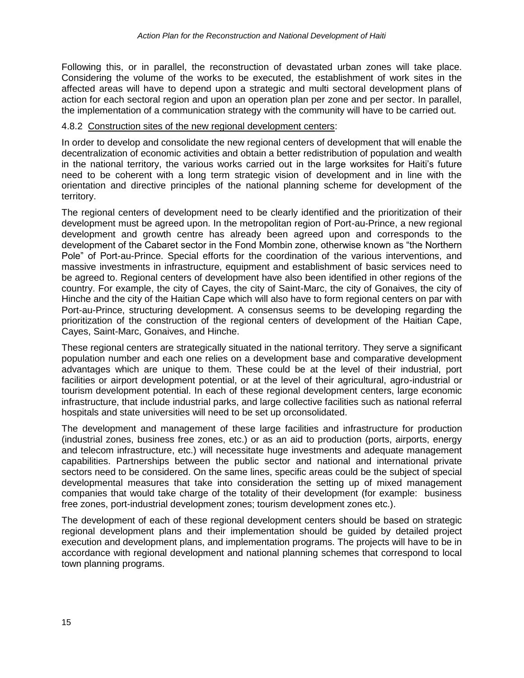Following this, or in parallel, the reconstruction of devastated urban zones will take place. Considering the volume of the works to be executed, the establishment of work sites in the affected areas will have to depend upon a strategic and multi sectoral development plans of action for each sectoral region and upon an operation plan per zone and per sector. In parallel, the implementation of a communication strategy with the community will have to be carried out.

### 4.8.2 Construction sites of the new regional development centers:

In order to develop and consolidate the new regional centers of development that will enable the decentralization of economic activities and obtain a better redistribution of population and wealth in the national territory, the various works carried out in the large worksites for Haiti's future need to be coherent with a long term strategic vision of development and in line with the orientation and directive principles of the national planning scheme for development of the territory.

The regional centers of development need to be clearly identified and the prioritization of their development must be agreed upon. In the metropolitan region of Port-au-Prince, a new regional development and growth centre has already been agreed upon and corresponds to the development of the Cabaret sector in the Fond Mombin zone, otherwise known as "the Northern Pole" of Port-au-Prince. Special efforts for the coordination of the various interventions, and massive investments in infrastructure, equipment and establishment of basic services need to be agreed to. Regional centers of development have also been identified in other regions of the country. For example, the city of Cayes, the city of Saint-Marc, the city of Gonaives, the city of Hinche and the city of the Haitian Cape which will also have to form regional centers on par with Port-au-Prince, structuring development. A consensus seems to be developing regarding the prioritization of the construction of the regional centers of development of the Haitian Cape, Cayes, Saint-Marc, Gonaives, and Hinche.

These regional centers are strategically situated in the national territory. They serve a significant population number and each one relies on a development base and comparative development advantages which are unique to them. These could be at the level of their industrial, port facilities or airport development potential, or at the level of their agricultural, agro-industrial or tourism development potential. In each of these regional development centers, large economic infrastructure, that include industrial parks, and large collective facilities such as national referral hospitals and state universities will need to be set up orconsolidated.

The development and management of these large facilities and infrastructure for production (industrial zones, business free zones, etc.) or as an aid to production (ports, airports, energy and telecom infrastructure, etc.) will necessitate huge investments and adequate management capabilities. Partnerships between the public sector and national and international private sectors need to be considered. On the same lines, specific areas could be the subject of special developmental measures that take into consideration the setting up of mixed management companies that would take charge of the totality of their development (for example: business free zones, port-industrial development zones; tourism development zones etc.).

The development of each of these regional development centers should be based on strategic regional development plans and their implementation should be guided by detailed project execution and development plans, and implementation programs. The projects will have to be in accordance with regional development and national planning schemes that correspond to local town planning programs.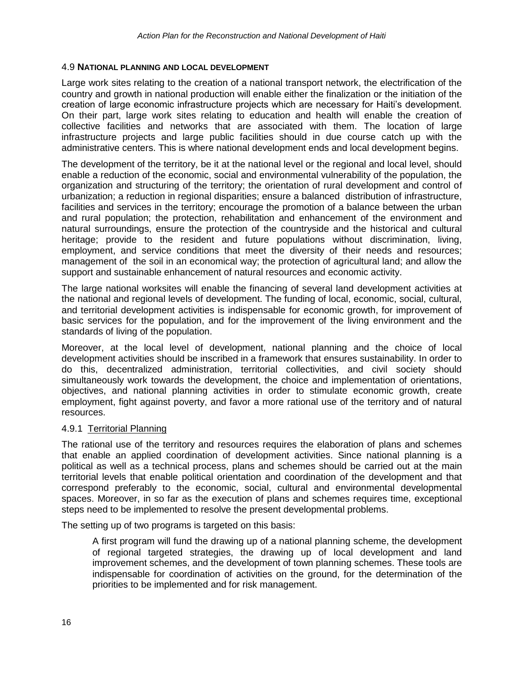### 4.9 **NATIONAL PLANNING AND LOCAL DEVELOPMENT**

Large work sites relating to the creation of a national transport network, the electrification of the country and growth in national production will enable either the finalization or the initiation of the creation of large economic infrastructure projects which are necessary for Haiti's development. On their part, large work sites relating to education and health will enable the creation of collective facilities and networks that are associated with them. The location of large infrastructure projects and large public facilities should in due course catch up with the administrative centers. This is where national development ends and local development begins.

The development of the territory, be it at the national level or the regional and local level, should enable a reduction of the economic, social and environmental vulnerability of the population, the organization and structuring of the territory; the orientation of rural development and control of urbanization; a reduction in regional disparities; ensure a balanced distribution of infrastructure, facilities and services in the territory; encourage the promotion of a balance between the urban and rural population; the protection, rehabilitation and enhancement of the environment and natural surroundings, ensure the protection of the countryside and the historical and cultural heritage; provide to the resident and future populations without discrimination, living, employment, and service conditions that meet the diversity of their needs and resources; management of the soil in an economical way; the protection of agricultural land; and allow the support and sustainable enhancement of natural resources and economic activity.

The large national worksites will enable the financing of several land development activities at the national and regional levels of development. The funding of local, economic, social, cultural, and territorial development activities is indispensable for economic growth, for improvement of basic services for the population, and for the improvement of the living environment and the standards of living of the population.

Moreover, at the local level of development, national planning and the choice of local development activities should be inscribed in a framework that ensures sustainability. In order to do this, decentralized administration, territorial collectivities, and civil society should simultaneously work towards the development, the choice and implementation of orientations, objectives, and national planning activities in order to stimulate economic growth, create employment, fight against poverty, and favor a more rational use of the territory and of natural resources.

#### 4.9.1 Territorial Planning

The rational use of the territory and resources requires the elaboration of plans and schemes that enable an applied coordination of development activities. Since national planning is a political as well as a technical process, plans and schemes should be carried out at the main territorial levels that enable political orientation and coordination of the development and that correspond preferably to the economic, social, cultural and environmental developmental spaces. Moreover, in so far as the execution of plans and schemes requires time, exceptional steps need to be implemented to resolve the present developmental problems.

The setting up of two programs is targeted on this basis:

A first program will fund the drawing up of a national planning scheme, the development of regional targeted strategies, the drawing up of local development and land improvement schemes, and the development of town planning schemes. These tools are indispensable for coordination of activities on the ground, for the determination of the priorities to be implemented and for risk management.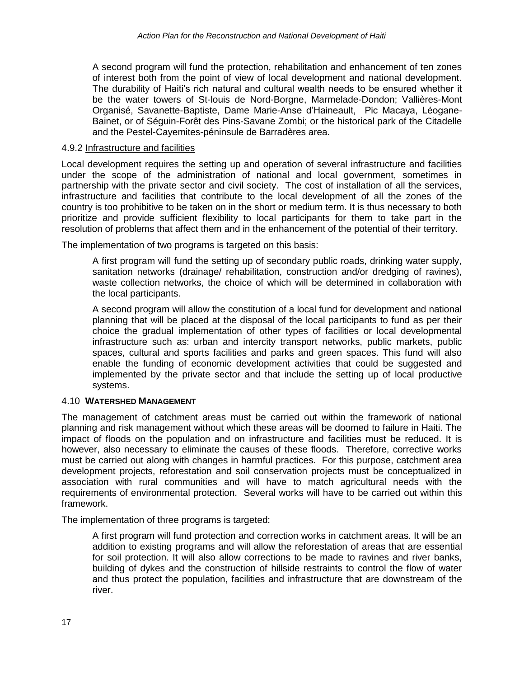A second program will fund the protection, rehabilitation and enhancement of ten zones of interest both from the point of view of local development and national development. The durability of Haiti's rich natural and cultural wealth needs to be ensured whether it be the water towers of St-louis de Nord-Borgne, Marmelade-Dondon; Vallières-Mont Organisé, Savanette-Baptiste, Dame Marie-Anse d'Haineault, Pic Macaya, Léogane-Bainet, or of Séguin-Forêt des Pins-Savane Zombi; or the historical park of the Citadelle and the Pestel-Cayemites-péninsule de Barradères area.

### 4.9.2 Infrastructure and facilities

Local development requires the setting up and operation of several infrastructure and facilities under the scope of the administration of national and local government, sometimes in partnership with the private sector and civil society. The cost of installation of all the services, infrastructure and facilities that contribute to the local development of all the zones of the country is too prohibitive to be taken on in the short or medium term. It is thus necessary to both prioritize and provide sufficient flexibility to local participants for them to take part in the resolution of problems that affect them and in the enhancement of the potential of their territory.

The implementation of two programs is targeted on this basis:

A first program will fund the setting up of secondary public roads, drinking water supply, sanitation networks (drainage/ rehabilitation, construction and/or dredging of ravines), waste collection networks, the choice of which will be determined in collaboration with the local participants.

A second program will allow the constitution of a local fund for development and national planning that will be placed at the disposal of the local participants to fund as per their choice the gradual implementation of other types of facilities or local developmental infrastructure such as: urban and intercity transport networks, public markets, public spaces, cultural and sports facilities and parks and green spaces. This fund will also enable the funding of economic development activities that could be suggested and implemented by the private sector and that include the setting up of local productive systems.

# 4.10 **WATERSHED MANAGEMENT**

The management of catchment areas must be carried out within the framework of national planning and risk management without which these areas will be doomed to failure in Haiti. The impact of floods on the population and on infrastructure and facilities must be reduced. It is however, also necessary to eliminate the causes of these floods. Therefore, corrective works must be carried out along with changes in harmful practices. For this purpose, catchment area development projects, reforestation and soil conservation projects must be conceptualized in association with rural communities and will have to match agricultural needs with the requirements of environmental protection. Several works will have to be carried out within this framework.

The implementation of three programs is targeted:

A first program will fund protection and correction works in catchment areas. It will be an addition to existing programs and will allow the reforestation of areas that are essential for soil protection. It will also allow corrections to be made to ravines and river banks, building of dykes and the construction of hillside restraints to control the flow of water and thus protect the population, facilities and infrastructure that are downstream of the river.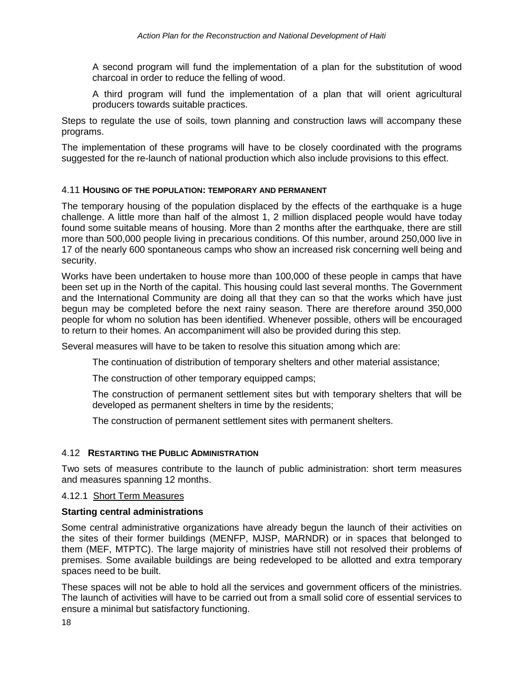A second program will fund the implementation of a plan for the substitution of wood charcoal in order to reduce the felling of wood.

A third program will fund the implementation of a plan that will orient agricultural producers towards suitable practices.

Steps to regulate the use of soils, town planning and construction laws will accompany these programs.

The implementation of these programs will have to be closely coordinated with the programs suggested for the re-launch of national production which also include provisions to this effect.

### 4.11 **HOUSING OF THE POPULATION: TEMPORARY AND PERMANENT**

The temporary housing of the population displaced by the effects of the earthquake is a huge challenge. A little more than half of the almost 1, 2 million displaced people would have today found some suitable means of housing. More than 2 months after the earthquake, there are still more than 500,000 people living in precarious conditions. Of this number, around 250,000 live in 17 of the nearly 600 spontaneous camps who show an increased risk concerning well being and security.

Works have been undertaken to house more than 100,000 of these people in camps that have been set up in the North of the capital. This housing could last several months. The Government and the International Community are doing all that they can so that the works which have just begun may be completed before the next rainy season. There are therefore around 350,000 people for whom no solution has been identified. Whenever possible, others will be encouraged to return to their homes. An accompaniment will also be provided during this step.

Several measures will have to be taken to resolve this situation among which are:

The continuation of distribution of temporary shelters and other material assistance;

The construction of other temporary equipped camps;

The construction of permanent settlement sites but with temporary shelters that will be developed as permanent shelters in time by the residents;

The construction of permanent settlement sites with permanent shelters.

# 4.12 **RESTARTING THE PUBLIC ADMINISTRATION**

Two sets of measures contribute to the launch of public administration: short term measures and measures spanning 12 months.

### 4.12.1 Short Term Measures

# **Starting central administrations**

Some central administrative organizations have already begun the launch of their activities on the sites of their former buildings (MENFP, MJSP, MARNDR) or in spaces that belonged to them (MEF, MTPTC). The large majority of ministries have still not resolved their problems of premises. Some available buildings are being redeveloped to be allotted and extra temporary spaces need to be built.

These spaces will not be able to hold all the services and government officers of the ministries. The launch of activities will have to be carried out from a small solid core of essential services to ensure a minimal but satisfactory functioning.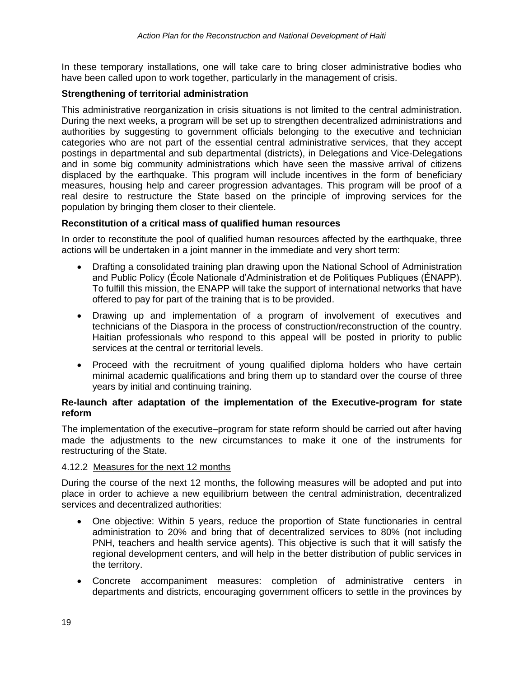In these temporary installations, one will take care to bring closer administrative bodies who have been called upon to work together, particularly in the management of crisis.

# **Strengthening of territorial administration**

This administrative reorganization in crisis situations is not limited to the central administration. During the next weeks, a program will be set up to strengthen decentralized administrations and authorities by suggesting to government officials belonging to the executive and technician categories who are not part of the essential central administrative services, that they accept postings in departmental and sub departmental (districts), in Delegations and Vice-Delegations and in some big community administrations which have seen the massive arrival of citizens displaced by the earthquake. This program will include incentives in the form of beneficiary measures, housing help and career progression advantages. This program will be proof of a real desire to restructure the State based on the principle of improving services for the population by bringing them closer to their clientele.

### **Reconstitution of a critical mass of qualified human resources**

In order to reconstitute the pool of qualified human resources affected by the earthquake, three actions will be undertaken in a joint manner in the immediate and very short term:

- Drafting a consolidated training plan drawing upon the National School of Administration and Public Policy (École Nationale d'Administration et de Politiques Publiques (ÉNAPP). To fulfill this mission, the ENAPP will take the support of international networks that have offered to pay for part of the training that is to be provided.
- Drawing up and implementation of a program of involvement of executives and technicians of the Diaspora in the process of construction/reconstruction of the country. Haitian professionals who respond to this appeal will be posted in priority to public services at the central or territorial levels.
- Proceed with the recruitment of young qualified diploma holders who have certain minimal academic qualifications and bring them up to standard over the course of three years by initial and continuing training.

### **Re-launch after adaptation of the implementation of the Executive-program for state reform**

The implementation of the executive–program for state reform should be carried out after having made the adjustments to the new circumstances to make it one of the instruments for restructuring of the State.

#### 4.12.2 Measures for the next 12 months

During the course of the next 12 months, the following measures will be adopted and put into place in order to achieve a new equilibrium between the central administration, decentralized services and decentralized authorities:

- One objective: Within 5 years, reduce the proportion of State functionaries in central administration to 20% and bring that of decentralized services to 80% (not including PNH, teachers and health service agents). This objective is such that it will satisfy the regional development centers, and will help in the better distribution of public services in the territory.
- Concrete accompaniment measures: completion of administrative centers in departments and districts, encouraging government officers to settle in the provinces by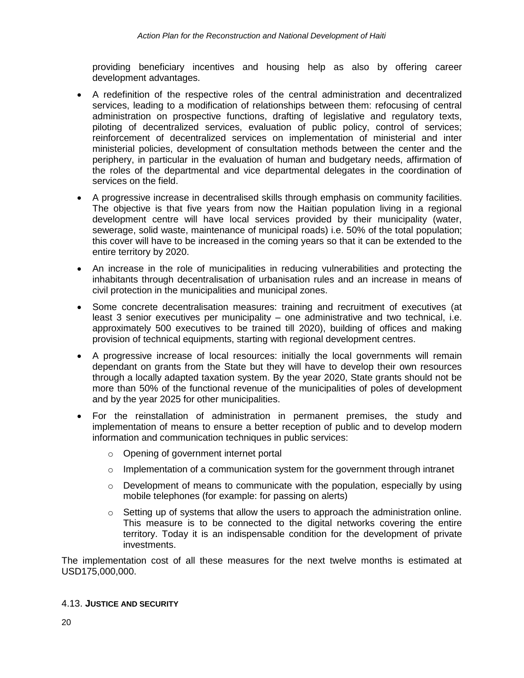providing beneficiary incentives and housing help as also by offering career development advantages.

- A redefinition of the respective roles of the central administration and decentralized services, leading to a modification of relationships between them: refocusing of central administration on prospective functions, drafting of legislative and regulatory texts, piloting of decentralized services, evaluation of public policy, control of services; reinforcement of decentralized services on implementation of ministerial and inter ministerial policies, development of consultation methods between the center and the periphery, in particular in the evaluation of human and budgetary needs, affirmation of the roles of the departmental and vice departmental delegates in the coordination of services on the field.
- A progressive increase in decentralised skills through emphasis on community facilities. The objective is that five years from now the Haitian population living in a regional development centre will have local services provided by their municipality (water, sewerage, solid waste, maintenance of municipal roads) i.e. 50% of the total population; this cover will have to be increased in the coming years so that it can be extended to the entire territory by 2020.
- An increase in the role of municipalities in reducing vulnerabilities and protecting the inhabitants through decentralisation of urbanisation rules and an increase in means of civil protection in the municipalities and municipal zones.
- Some concrete decentralisation measures: training and recruitment of executives (at least 3 senior executives per municipality – one administrative and two technical, i.e. approximately 500 executives to be trained till 2020), building of offices and making provision of technical equipments, starting with regional development centres.
- A progressive increase of local resources: initially the local governments will remain dependant on grants from the State but they will have to develop their own resources through a locally adapted taxation system. By the year 2020, State grants should not be more than 50% of the functional revenue of the municipalities of poles of development and by the year 2025 for other municipalities.
- For the reinstallation of administration in permanent premises, the study and implementation of means to ensure a better reception of public and to develop modern information and communication techniques in public services:
	- o Opening of government internet portal
	- $\circ$  Implementation of a communication system for the government through intranet
	- $\circ$  Development of means to communicate with the population, especially by using mobile telephones (for example: for passing on alerts)
	- $\circ$  Setting up of systems that allow the users to approach the administration online. This measure is to be connected to the digital networks covering the entire territory. Today it is an indispensable condition for the development of private investments.

The implementation cost of all these measures for the next twelve months is estimated at USD175,000,000.

#### 4.13. **JUSTICE AND SECURITY**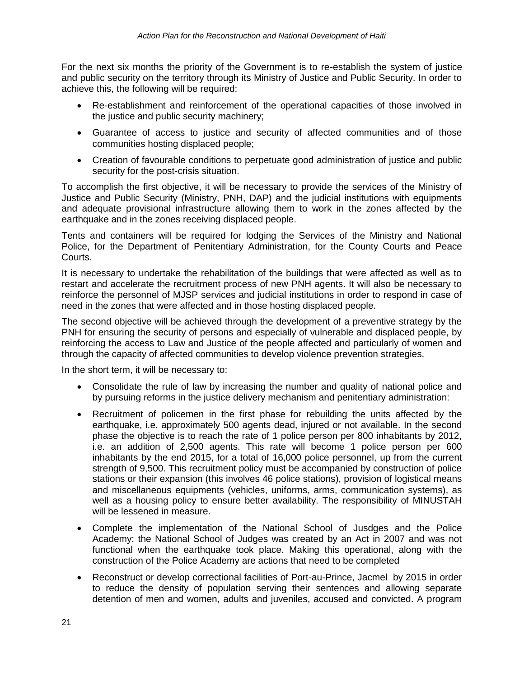For the next six months the priority of the Government is to re-establish the system of justice and public security on the territory through its Ministry of Justice and Public Security. In order to achieve this, the following will be required:

- Re-establishment and reinforcement of the operational capacities of those involved in the justice and public security machinery;
- Guarantee of access to justice and security of affected communities and of those communities hosting displaced people;
- Creation of favourable conditions to perpetuate good administration of justice and public security for the post-crisis situation.

To accomplish the first objective, it will be necessary to provide the services of the Ministry of Justice and Public Security (Ministry, PNH, DAP) and the judicial institutions with equipments and adequate provisional infrastructure allowing them to work in the zones affected by the earthquake and in the zones receiving displaced people.

Tents and containers will be required for lodging the Services of the Ministry and National Police, for the Department of Penitentiary Administration, for the County Courts and Peace Courts.

It is necessary to undertake the rehabilitation of the buildings that were affected as well as to restart and accelerate the recruitment process of new PNH agents. It will also be necessary to reinforce the personnel of MJSP services and judicial institutions in order to respond in case of need in the zones that were affected and in those hosting displaced people.

The second objective will be achieved through the development of a preventive strategy by the PNH for ensuring the security of persons and especially of vulnerable and displaced people, by reinforcing the access to Law and Justice of the people affected and particularly of women and through the capacity of affected communities to develop violence prevention strategies.

In the short term, it will be necessary to:

- Consolidate the rule of law by increasing the number and quality of national police and by pursuing reforms in the justice delivery mechanism and penitentiary administration:
- Recruitment of policemen in the first phase for rebuilding the units affected by the earthquake, i.e. approximately 500 agents dead, injured or not available. In the second phase the objective is to reach the rate of 1 police person per 800 inhabitants by 2012, i.e. an addition of 2,500 agents. This rate will become 1 police person per 600 inhabitants by the end 2015, for a total of 16,000 police personnel, up from the current strength of 9,500. This recruitment policy must be accompanied by construction of police stations or their expansion (this involves 46 police stations), provision of logistical means and miscellaneous equipments (vehicles, uniforms, arms, communication systems), as well as a housing policy to ensure better availability. The responsibility of MINUSTAH will be lessened in measure.
- Complete the implementation of the National School of Jusdges and the Police Academy: the National School of Judges was created by an Act in 2007 and was not functional when the earthquake took place. Making this operational, along with the construction of the Police Academy are actions that need to be completed
- Reconstruct or develop correctional facilities of Port-au-Prince, Jacmel by 2015 in order to reduce the density of population serving their sentences and allowing separate detention of men and women, adults and juveniles, accused and convicted. A program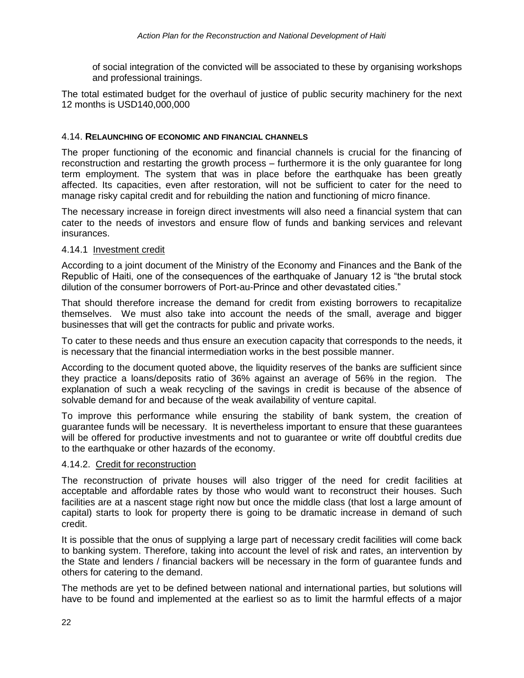of social integration of the convicted will be associated to these by organising workshops and professional trainings.

The total estimated budget for the overhaul of justice of public security machinery for the next 12 months is USD140,000,000

### 4.14. **RELAUNCHING OF ECONOMIC AND FINANCIAL CHANNELS**

The proper functioning of the economic and financial channels is crucial for the financing of reconstruction and restarting the growth process – furthermore it is the only guarantee for long term employment. The system that was in place before the earthquake has been greatly affected. Its capacities, even after restoration, will not be sufficient to cater for the need to manage risky capital credit and for rebuilding the nation and functioning of micro finance.

The necessary increase in foreign direct investments will also need a financial system that can cater to the needs of investors and ensure flow of funds and banking services and relevant insurances.

### 4.14.1 Investment credit

According to a joint document of the Ministry of the Economy and Finances and the Bank of the Republic of Haiti, one of the consequences of the earthquake of January 12 is "the brutal stock dilution of the consumer borrowers of Port-au-Prince and other devastated cities."

That should therefore increase the demand for credit from existing borrowers to recapitalize themselves. We must also take into account the needs of the small, average and bigger businesses that will get the contracts for public and private works.

To cater to these needs and thus ensure an execution capacity that corresponds to the needs, it is necessary that the financial intermediation works in the best possible manner.

According to the document quoted above, the liquidity reserves of the banks are sufficient since they practice a loans/deposits ratio of 36% against an average of 56% in the region. The explanation of such a weak recycling of the savings in credit is because of the absence of solvable demand for and because of the weak availability of venture capital.

To improve this performance while ensuring the stability of bank system, the creation of guarantee funds will be necessary. It is nevertheless important to ensure that these guarantees will be offered for productive investments and not to quarantee or write off doubtful credits due to the earthquake or other hazards of the economy.

#### 4.14.2. Credit for reconstruction

The reconstruction of private houses will also trigger of the need for credit facilities at acceptable and affordable rates by those who would want to reconstruct their houses. Such facilities are at a nascent stage right now but once the middle class (that lost a large amount of capital) starts to look for property there is going to be dramatic increase in demand of such credit.

It is possible that the onus of supplying a large part of necessary credit facilities will come back to banking system. Therefore, taking into account the level of risk and rates, an intervention by the State and lenders / financial backers will be necessary in the form of guarantee funds and others for catering to the demand.

The methods are yet to be defined between national and international parties, but solutions will have to be found and implemented at the earliest so as to limit the harmful effects of a major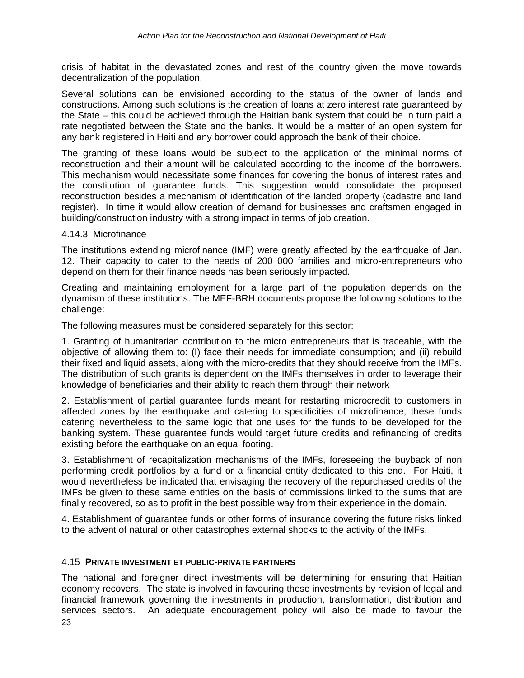crisis of habitat in the devastated zones and rest of the country given the move towards decentralization of the population.

Several solutions can be envisioned according to the status of the owner of lands and constructions. Among such solutions is the creation of loans at zero interest rate guaranteed by the State – this could be achieved through the Haitian bank system that could be in turn paid a rate negotiated between the State and the banks. It would be a matter of an open system for any bank registered in Haiti and any borrower could approach the bank of their choice.

The granting of these loans would be subject to the application of the minimal norms of reconstruction and their amount will be calculated according to the income of the borrowers. This mechanism would necessitate some finances for covering the bonus of interest rates and the constitution of guarantee funds. This suggestion would consolidate the proposed reconstruction besides a mechanism of identification of the landed property (cadastre and land register). In time it would allow creation of demand for businesses and craftsmen engaged in building/construction industry with a strong impact in terms of job creation.

#### 4.14.3 Microfinance

The institutions extending microfinance (IMF) were greatly affected by the earthquake of Jan. 12. Their capacity to cater to the needs of 200 000 families and micro-entrepreneurs who depend on them for their finance needs has been seriously impacted.

Creating and maintaining employment for a large part of the population depends on the dynamism of these institutions. The MEF-BRH documents propose the following solutions to the challenge:

The following measures must be considered separately for this sector:

1. Granting of humanitarian contribution to the micro entrepreneurs that is traceable, with the objective of allowing them to: (I) face their needs for immediate consumption; and (ii) rebuild their fixed and liquid assets, along with the micro-credits that they should receive from the IMFs. The distribution of such grants is dependent on the IMFs themselves in order to leverage their knowledge of beneficiaries and their ability to reach them through their network

2. Establishment of partial guarantee funds meant for restarting microcredit to customers in affected zones by the earthquake and catering to specificities of microfinance, these funds catering nevertheless to the same logic that one uses for the funds to be developed for the banking system. These guarantee funds would target future credits and refinancing of credits existing before the earthquake on an equal footing.

3. Establishment of recapitalization mechanisms of the IMFs, foreseeing the buyback of non performing credit portfolios by a fund or a financial entity dedicated to this end. For Haiti, it would nevertheless be indicated that envisaging the recovery of the repurchased credits of the IMFs be given to these same entities on the basis of commissions linked to the sums that are finally recovered, so as to profit in the best possible way from their experience in the domain.

4. Establishment of guarantee funds or other forms of insurance covering the future risks linked to the advent of natural or other catastrophes external shocks to the activity of the IMFs.

#### 4.15 **PRIVATE INVESTMENT ET PUBLIC-PRIVATE PARTNERS**

23 The national and foreigner direct investments will be determining for ensuring that Haitian economy recovers. The state is involved in favouring these investments by revision of legal and financial framework governing the investments in production, transformation, distribution and services sectors. An adequate encouragement policy will also be made to favour the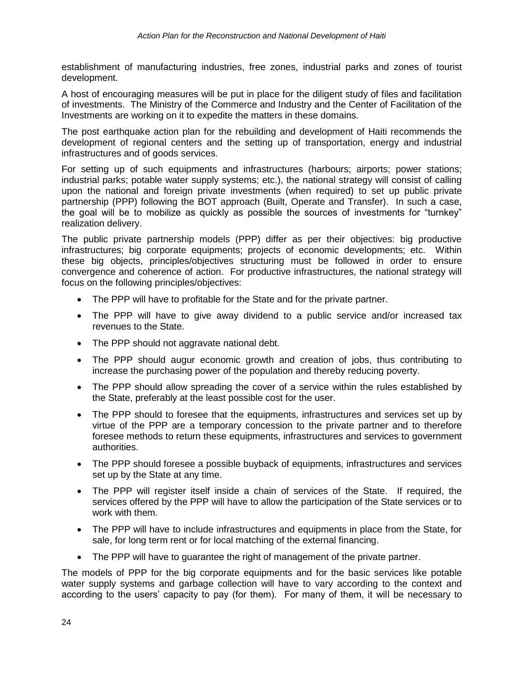establishment of manufacturing industries, free zones, industrial parks and zones of tourist development.

A host of encouraging measures will be put in place for the diligent study of files and facilitation of investments. The Ministry of the Commerce and Industry and the Center of Facilitation of the Investments are working on it to expedite the matters in these domains.

The post earthquake action plan for the rebuilding and development of Haiti recommends the development of regional centers and the setting up of transportation, energy and industrial infrastructures and of goods services.

For setting up of such equipments and infrastructures (harbours; airports; power stations; industrial parks; potable water supply systems; etc.), the national strategy will consist of calling upon the national and foreign private investments (when required) to set up public private partnership (PPP) following the BOT approach (Built, Operate and Transfer). In such a case, the goal will be to mobilize as quickly as possible the sources of investments for "turnkey" realization delivery.

The public private partnership models (PPP) differ as per their objectives: big productive infrastructures; big corporate equipments; projects of economic developments; etc. Within these big objects, principles/objectives structuring must be followed in order to ensure convergence and coherence of action. For productive infrastructures, the national strategy will focus on the following principles/objectives:

- The PPP will have to profitable for the State and for the private partner.
- The PPP will have to give away dividend to a public service and/or increased tax revenues to the State.
- The PPP should not aggravate national debt.
- The PPP should augur economic growth and creation of jobs, thus contributing to increase the purchasing power of the population and thereby reducing poverty.
- The PPP should allow spreading the cover of a service within the rules established by the State, preferably at the least possible cost for the user.
- The PPP should to foresee that the equipments, infrastructures and services set up by virtue of the PPP are a temporary concession to the private partner and to therefore foresee methods to return these equipments, infrastructures and services to government authorities.
- The PPP should foresee a possible buyback of equipments, infrastructures and services set up by the State at any time.
- The PPP will register itself inside a chain of services of the State. If required, the services offered by the PPP will have to allow the participation of the State services or to work with them.
- The PPP will have to include infrastructures and equipments in place from the State, for sale, for long term rent or for local matching of the external financing.
- The PPP will have to guarantee the right of management of the private partner.

The models of PPP for the big corporate equipments and for the basic services like potable water supply systems and garbage collection will have to vary according to the context and according to the users' capacity to pay (for them). For many of them, it will be necessary to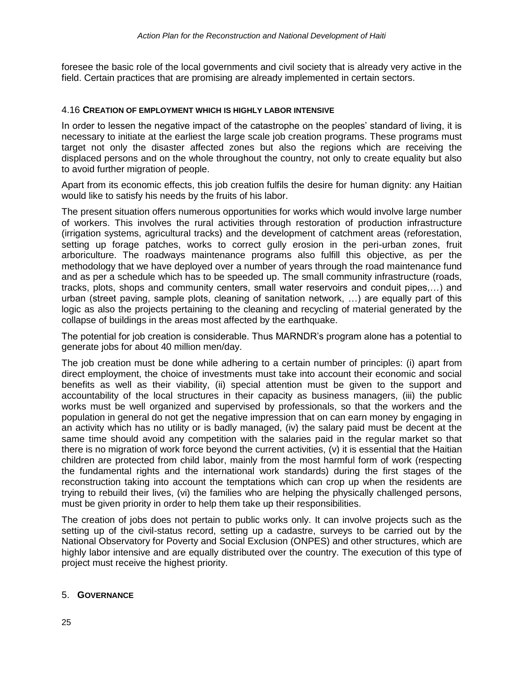foresee the basic role of the local governments and civil society that is already very active in the field. Certain practices that are promising are already implemented in certain sectors.

#### 4.16 **CREATION OF EMPLOYMENT WHICH IS HIGHLY LABOR INTENSIVE**

In order to lessen the negative impact of the catastrophe on the peoples' standard of living, it is necessary to initiate at the earliest the large scale job creation programs. These programs must target not only the disaster affected zones but also the regions which are receiving the displaced persons and on the whole throughout the country, not only to create equality but also to avoid further migration of people.

Apart from its economic effects, this job creation fulfils the desire for human dignity: any Haitian would like to satisfy his needs by the fruits of his labor.

The present situation offers numerous opportunities for works which would involve large number of workers. This involves the rural activities through restoration of production infrastructure (irrigation systems, agricultural tracks) and the development of catchment areas (reforestation, setting up forage patches, works to correct gully erosion in the peri-urban zones, fruit arboriculture. The roadways maintenance programs also fulfill this objective, as per the methodology that we have deployed over a number of years through the road maintenance fund and as per a schedule which has to be speeded up. The small community infrastructure (roads, tracks, plots, shops and community centers, small water reservoirs and conduit pipes,…) and urban (street paving, sample plots, cleaning of sanitation network, …) are equally part of this logic as also the projects pertaining to the cleaning and recycling of material generated by the collapse of buildings in the areas most affected by the earthquake.

The potential for job creation is considerable. Thus MARNDR's program alone has a potential to generate jobs for about 40 million men/day.

The job creation must be done while adhering to a certain number of principles: (i) apart from direct employment, the choice of investments must take into account their economic and social benefits as well as their viability, (ii) special attention must be given to the support and accountability of the local structures in their capacity as business managers, (iii) the public works must be well organized and supervised by professionals, so that the workers and the population in general do not get the negative impression that on can earn money by engaging in an activity which has no utility or is badly managed, (iv) the salary paid must be decent at the same time should avoid any competition with the salaries paid in the regular market so that there is no migration of work force beyond the current activities, (v) it is essential that the Haitian children are protected from child labor, mainly from the most harmful form of work (respecting the fundamental rights and the international work standards) during the first stages of the reconstruction taking into account the temptations which can crop up when the residents are trying to rebuild their lives, (vi) the families who are helping the physically challenged persons, must be given priority in order to help them take up their responsibilities.

The creation of jobs does not pertain to public works only. It can involve projects such as the setting up of the civil-status record, setting up a cadastre, surveys to be carried out by the National Observatory for Poverty and Social Exclusion (ONPES) and other structures, which are highly labor intensive and are equally distributed over the country. The execution of this type of project must receive the highest priority.

### 5. **GOVERNANCE**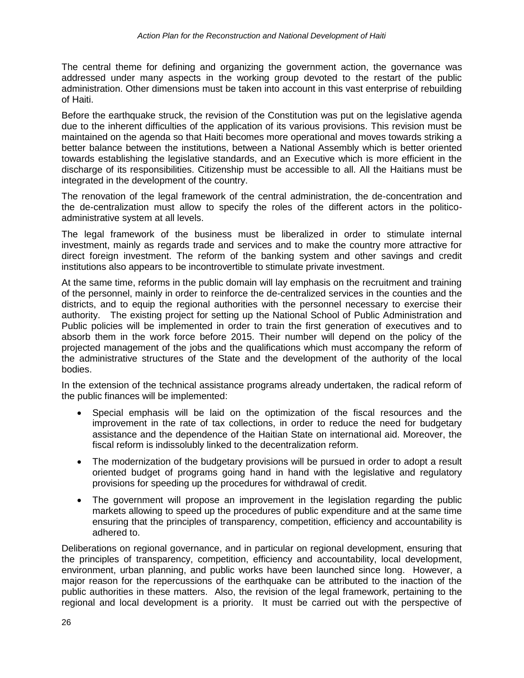The central theme for defining and organizing the government action, the governance was addressed under many aspects in the working group devoted to the restart of the public administration. Other dimensions must be taken into account in this vast enterprise of rebuilding of Haiti.

Before the earthquake struck, the revision of the Constitution was put on the legislative agenda due to the inherent difficulties of the application of its various provisions. This revision must be maintained on the agenda so that Haiti becomes more operational and moves towards striking a better balance between the institutions, between a National Assembly which is better oriented towards establishing the legislative standards, and an Executive which is more efficient in the discharge of its responsibilities. Citizenship must be accessible to all. All the Haitians must be integrated in the development of the country.

The renovation of the legal framework of the central administration, the de-concentration and the de-centralization must allow to specify the roles of the different actors in the politicoadministrative system at all levels.

The legal framework of the business must be liberalized in order to stimulate internal investment, mainly as regards trade and services and to make the country more attractive for direct foreign investment. The reform of the banking system and other savings and credit institutions also appears to be incontrovertible to stimulate private investment.

At the same time, reforms in the public domain will lay emphasis on the recruitment and training of the personnel, mainly in order to reinforce the de-centralized services in the counties and the districts, and to equip the regional authorities with the personnel necessary to exercise their authority. The existing project for setting up the National School of Public Administration and Public policies will be implemented in order to train the first generation of executives and to absorb them in the work force before 2015. Their number will depend on the policy of the projected management of the jobs and the qualifications which must accompany the reform of the administrative structures of the State and the development of the authority of the local bodies.

In the extension of the technical assistance programs already undertaken, the radical reform of the public finances will be implemented:

- Special emphasis will be laid on the optimization of the fiscal resources and the improvement in the rate of tax collections, in order to reduce the need for budgetary assistance and the dependence of the Haitian State on international aid. Moreover, the fiscal reform is indissolubly linked to the decentralization reform.
- The modernization of the budgetary provisions will be pursued in order to adopt a result oriented budget of programs going hand in hand with the legislative and regulatory provisions for speeding up the procedures for withdrawal of credit.
- The government will propose an improvement in the legislation regarding the public markets allowing to speed up the procedures of public expenditure and at the same time ensuring that the principles of transparency, competition, efficiency and accountability is adhered to.

Deliberations on regional governance, and in particular on regional development, ensuring that the principles of transparency, competition, efficiency and accountability, local development, environment, urban planning, and public works have been launched since long. However, a major reason for the repercussions of the earthquake can be attributed to the inaction of the public authorities in these matters. Also, the revision of the legal framework, pertaining to the regional and local development is a priority. It must be carried out with the perspective of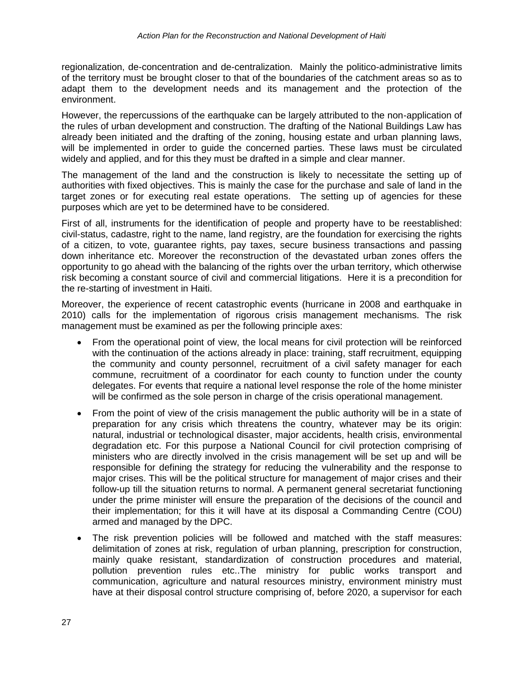regionalization, de-concentration and de-centralization. Mainly the politico-administrative limits of the territory must be brought closer to that of the boundaries of the catchment areas so as to adapt them to the development needs and its management and the protection of the environment.

However, the repercussions of the earthquake can be largely attributed to the non-application of the rules of urban development and construction. The drafting of the National Buildings Law has already been initiated and the drafting of the zoning, housing estate and urban planning laws, will be implemented in order to guide the concerned parties. These laws must be circulated widely and applied, and for this they must be drafted in a simple and clear manner.

The management of the land and the construction is likely to necessitate the setting up of authorities with fixed objectives. This is mainly the case for the purchase and sale of land in the target zones or for executing real estate operations. The setting up of agencies for these purposes which are yet to be determined have to be considered.

First of all, instruments for the identification of people and property have to be reestablished: civil-status, cadastre, right to the name, land registry, are the foundation for exercising the rights of a citizen, to vote, guarantee rights, pay taxes, secure business transactions and passing down inheritance etc. Moreover the reconstruction of the devastated urban zones offers the opportunity to go ahead with the balancing of the rights over the urban territory, which otherwise risk becoming a constant source of civil and commercial litigations. Here it is a precondition for the re-starting of investment in Haiti.

Moreover, the experience of recent catastrophic events (hurricane in 2008 and earthquake in 2010) calls for the implementation of rigorous crisis management mechanisms. The risk management must be examined as per the following principle axes:

- From the operational point of view, the local means for civil protection will be reinforced with the continuation of the actions already in place: training, staff recruitment, equipping the community and county personnel, recruitment of a civil safety manager for each commune, recruitment of a coordinator for each county to function under the county delegates. For events that require a national level response the role of the home minister will be confirmed as the sole person in charge of the crisis operational management.
- From the point of view of the crisis management the public authority will be in a state of preparation for any crisis which threatens the country, whatever may be its origin: natural, industrial or technological disaster, major accidents, health crisis, environmental degradation etc. For this purpose a National Council for civil protection comprising of ministers who are directly involved in the crisis management will be set up and will be responsible for defining the strategy for reducing the vulnerability and the response to major crises. This will be the political structure for management of major crises and their follow-up till the situation returns to normal. A permanent general secretariat functioning under the prime minister will ensure the preparation of the decisions of the council and their implementation; for this it will have at its disposal a Commanding Centre (COU) armed and managed by the DPC.
- The risk prevention policies will be followed and matched with the staff measures: delimitation of zones at risk, regulation of urban planning, prescription for construction, mainly quake resistant, standardization of construction procedures and material, pollution prevention rules etc..The ministry for public works transport and communication, agriculture and natural resources ministry, environment ministry must have at their disposal control structure comprising of, before 2020, a supervisor for each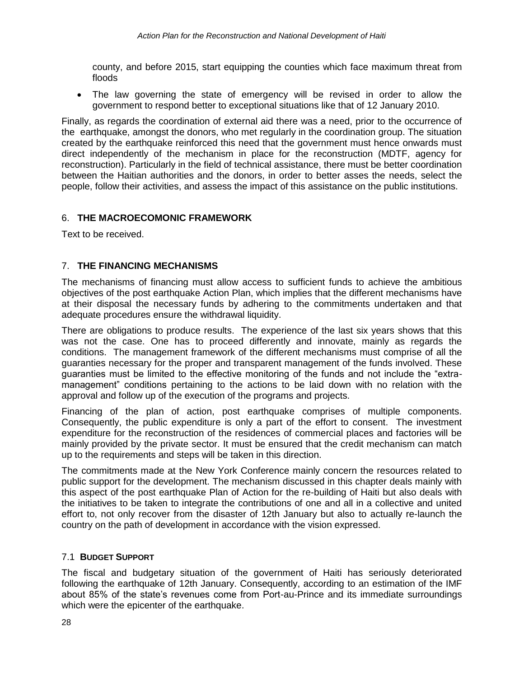county, and before 2015, start equipping the counties which face maximum threat from floods

 The law governing the state of emergency will be revised in order to allow the government to respond better to exceptional situations like that of 12 January 2010.

Finally, as regards the coordination of external aid there was a need, prior to the occurrence of the earthquake, amongst the donors, who met regularly in the coordination group. The situation created by the earthquake reinforced this need that the government must hence onwards must direct independently of the mechanism in place for the reconstruction (MDTF, agency for reconstruction). Particularly in the field of technical assistance, there must be better coordination between the Haitian authorities and the donors, in order to better asses the needs, select the people, follow their activities, and assess the impact of this assistance on the public institutions.

# 6. **THE MACROECOMONIC FRAMEWORK**

Text to be received.

# 7. **THE FINANCING MECHANISMS**

The mechanisms of financing must allow access to sufficient funds to achieve the ambitious objectives of the post earthquake Action Plan, which implies that the different mechanisms have at their disposal the necessary funds by adhering to the commitments undertaken and that adequate procedures ensure the withdrawal liquidity.

There are obligations to produce results. The experience of the last six years shows that this was not the case. One has to proceed differently and innovate, mainly as regards the conditions. The management framework of the different mechanisms must comprise of all the guaranties necessary for the proper and transparent management of the funds involved. These guaranties must be limited to the effective monitoring of the funds and not include the "extramanagement" conditions pertaining to the actions to be laid down with no relation with the approval and follow up of the execution of the programs and projects.

Financing of the plan of action, post earthquake comprises of multiple components. Consequently, the public expenditure is only a part of the effort to consent. The investment expenditure for the reconstruction of the residences of commercial places and factories will be mainly provided by the private sector. It must be ensured that the credit mechanism can match up to the requirements and steps will be taken in this direction.

The commitments made at the New York Conference mainly concern the resources related to public support for the development. The mechanism discussed in this chapter deals mainly with this aspect of the post earthquake Plan of Action for the re-building of Haiti but also deals with the initiatives to be taken to integrate the contributions of one and all in a collective and united effort to, not only recover from the disaster of 12th January but also to actually re-launch the country on the path of development in accordance with the vision expressed.

# 7.1 **BUDGET SUPPORT**

The fiscal and budgetary situation of the government of Haiti has seriously deteriorated following the earthquake of 12th January. Consequently, according to an estimation of the IMF about 85% of the state's revenues come from Port-au-Prince and its immediate surroundings which were the epicenter of the earthquake.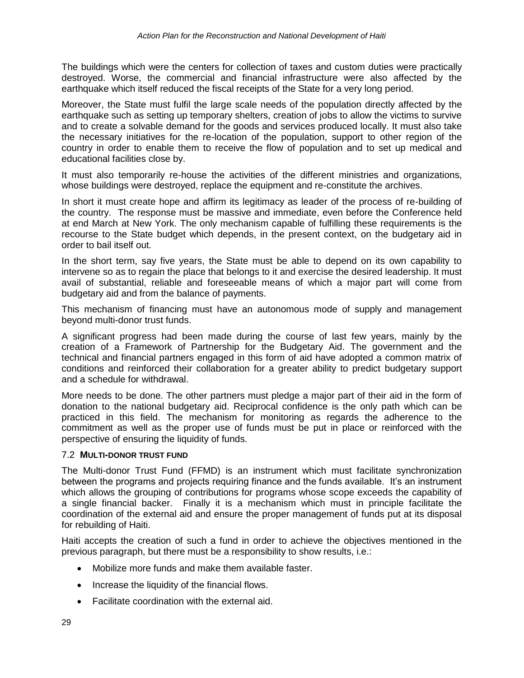The buildings which were the centers for collection of taxes and custom duties were practically destroyed. Worse, the commercial and financial infrastructure were also affected by the earthquake which itself reduced the fiscal receipts of the State for a very long period.

Moreover, the State must fulfil the large scale needs of the population directly affected by the earthquake such as setting up temporary shelters, creation of jobs to allow the victims to survive and to create a solvable demand for the goods and services produced locally. It must also take the necessary initiatives for the re-location of the population, support to other region of the country in order to enable them to receive the flow of population and to set up medical and educational facilities close by.

It must also temporarily re-house the activities of the different ministries and organizations, whose buildings were destroyed, replace the equipment and re-constitute the archives.

In short it must create hope and affirm its legitimacy as leader of the process of re-building of the country. The response must be massive and immediate, even before the Conference held at end March at New York. The only mechanism capable of fulfilling these requirements is the recourse to the State budget which depends, in the present context, on the budgetary aid in order to bail itself out.

In the short term, say five years, the State must be able to depend on its own capability to intervene so as to regain the place that belongs to it and exercise the desired leadership. It must avail of substantial, reliable and foreseeable means of which a major part will come from budgetary aid and from the balance of payments.

This mechanism of financing must have an autonomous mode of supply and management beyond multi-donor trust funds.

A significant progress had been made during the course of last few years, mainly by the creation of a Framework of Partnership for the Budgetary Aid. The government and the technical and financial partners engaged in this form of aid have adopted a common matrix of conditions and reinforced their collaboration for a greater ability to predict budgetary support and a schedule for withdrawal.

More needs to be done. The other partners must pledge a major part of their aid in the form of donation to the national budgetary aid. Reciprocal confidence is the only path which can be practiced in this field. The mechanism for monitoring as regards the adherence to the commitment as well as the proper use of funds must be put in place or reinforced with the perspective of ensuring the liquidity of funds.

# 7.2 **MULTI-DONOR TRUST FUND**

The Multi-donor Trust Fund (FFMD) is an instrument which must facilitate synchronization between the programs and projects requiring finance and the funds available. It's an instrument which allows the grouping of contributions for programs whose scope exceeds the capability of a single financial backer. Finally it is a mechanism which must in principle facilitate the coordination of the external aid and ensure the proper management of funds put at its disposal for rebuilding of Haiti.

Haiti accepts the creation of such a fund in order to achieve the objectives mentioned in the previous paragraph, but there must be a responsibility to show results, i.e.:

- Mobilize more funds and make them available faster.
- Increase the liquidity of the financial flows.
- Facilitate coordination with the external aid.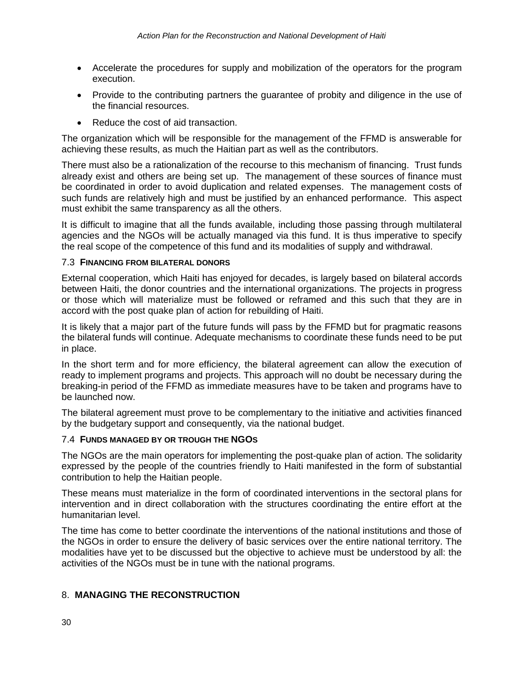- Accelerate the procedures for supply and mobilization of the operators for the program execution.
- Provide to the contributing partners the quarantee of probity and diligence in the use of the financial resources.
- Reduce the cost of aid transaction.

The organization which will be responsible for the management of the FFMD is answerable for achieving these results, as much the Haitian part as well as the contributors.

There must also be a rationalization of the recourse to this mechanism of financing. Trust funds already exist and others are being set up. The management of these sources of finance must be coordinated in order to avoid duplication and related expenses. The management costs of such funds are relatively high and must be justified by an enhanced performance. This aspect must exhibit the same transparency as all the others.

It is difficult to imagine that all the funds available, including those passing through multilateral agencies and the NGOs will be actually managed via this fund. It is thus imperative to specify the real scope of the competence of this fund and its modalities of supply and withdrawal.

### 7.3 **FINANCING FROM BILATERAL DONORS**

External cooperation, which Haiti has enjoyed for decades, is largely based on bilateral accords between Haiti, the donor countries and the international organizations. The projects in progress or those which will materialize must be followed or reframed and this such that they are in accord with the post quake plan of action for rebuilding of Haiti.

It is likely that a major part of the future funds will pass by the FFMD but for pragmatic reasons the bilateral funds will continue. Adequate mechanisms to coordinate these funds need to be put in place.

In the short term and for more efficiency, the bilateral agreement can allow the execution of ready to implement programs and projects. This approach will no doubt be necessary during the breaking-in period of the FFMD as immediate measures have to be taken and programs have to be launched now.

The bilateral agreement must prove to be complementary to the initiative and activities financed by the budgetary support and consequently, via the national budget.

# 7.4 **FUNDS MANAGED BY OR TROUGH THE NGOS**

The NGOs are the main operators for implementing the post-quake plan of action. The solidarity expressed by the people of the countries friendly to Haiti manifested in the form of substantial contribution to help the Haitian people.

These means must materialize in the form of coordinated interventions in the sectoral plans for intervention and in direct collaboration with the structures coordinating the entire effort at the humanitarian level.

The time has come to better coordinate the interventions of the national institutions and those of the NGOs in order to ensure the delivery of basic services over the entire national territory. The modalities have yet to be discussed but the objective to achieve must be understood by all: the activities of the NGOs must be in tune with the national programs.

# 8. **MANAGING THE RECONSTRUCTION**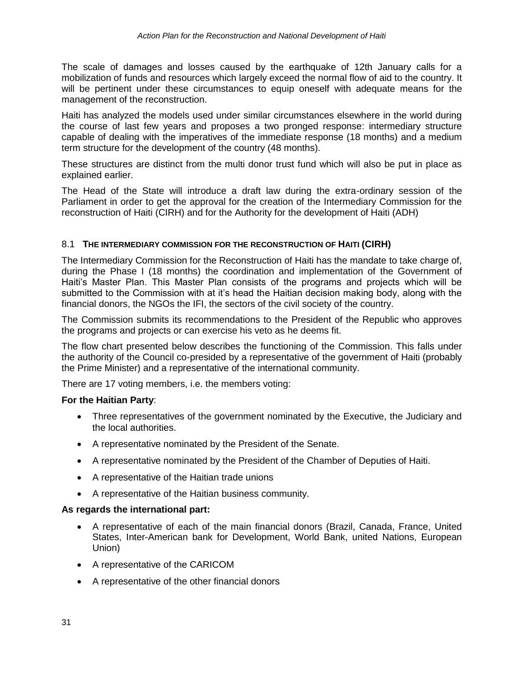The scale of damages and losses caused by the earthquake of 12th January calls for a mobilization of funds and resources which largely exceed the normal flow of aid to the country. It will be pertinent under these circumstances to equip oneself with adequate means for the management of the reconstruction.

Haiti has analyzed the models used under similar circumstances elsewhere in the world during the course of last few years and proposes a two pronged response: intermediary structure capable of dealing with the imperatives of the immediate response (18 months) and a medium term structure for the development of the country (48 months).

These structures are distinct from the multi donor trust fund which will also be put in place as explained earlier.

The Head of the State will introduce a draft law during the extra-ordinary session of the Parliament in order to get the approval for the creation of the Intermediary Commission for the reconstruction of Haiti (CIRH) and for the Authority for the development of Haiti (ADH)

# 8.1 **THE INTERMEDIARY COMMISSION FOR THE RECONSTRUCTION OF HAITI (CIRH)**

The Intermediary Commission for the Reconstruction of Haiti has the mandate to take charge of, during the Phase I (18 months) the coordination and implementation of the Government of Haiti's Master Plan. This Master Plan consists of the programs and projects which will be submitted to the Commission with at it's head the Haitian decision making body, along with the financial donors, the NGOs the IFI, the sectors of the civil society of the country.

The Commission submits its recommendations to the President of the Republic who approves the programs and projects or can exercise his veto as he deems fit.

The flow chart presented below describes the functioning of the Commission. This falls under the authority of the Council co-presided by a representative of the government of Haiti (probably the Prime Minister) and a representative of the international community.

There are 17 voting members, i.e. the members voting:

# **For the Haitian Party**:

- Three representatives of the government nominated by the Executive, the Judiciary and the local authorities.
- A representative nominated by the President of the Senate.
- A representative nominated by the President of the Chamber of Deputies of Haiti.
- A representative of the Haitian trade unions
- A representative of the Haitian business community.

#### **As regards the international part:**

- A representative of each of the main financial donors (Brazil, Canada, France, United States, Inter-American bank for Development, World Bank, united Nations, European Union)
- A representative of the CARICOM
- A representative of the other financial donors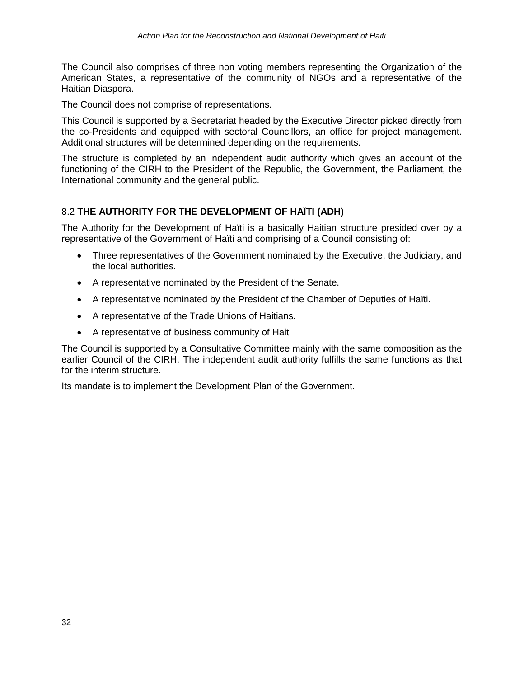The Council also comprises of three non voting members representing the Organization of the American States, a representative of the community of NGOs and a representative of the Haitian Diaspora.

The Council does not comprise of representations.

This Council is supported by a Secretariat headed by the Executive Director picked directly from the co-Presidents and equipped with sectoral Councillors, an office for project management. Additional structures will be determined depending on the requirements.

The structure is completed by an independent audit authority which gives an account of the functioning of the CIRH to the President of the Republic, the Government, the Parliament, the International community and the general public.

# 8.2 **THE AUTHORITY FOR THE DEVELOPMENT OF HAÏTI (ADH)**

The Authority for the Development of Haïti is a basically Haitian structure presided over by a representative of the Government of Haïti and comprising of a Council consisting of:

- Three representatives of the Government nominated by the Executive, the Judiciary, and the local authorities.
- A representative nominated by the President of the Senate.
- A representative nominated by the President of the Chamber of Deputies of Haïti.
- A representative of the Trade Unions of Haitians.
- A representative of business community of Haiti

The Council is supported by a Consultative Committee mainly with the same composition as the earlier Council of the CIRH. The independent audit authority fulfills the same functions as that for the interim structure.

Its mandate is to implement the Development Plan of the Government.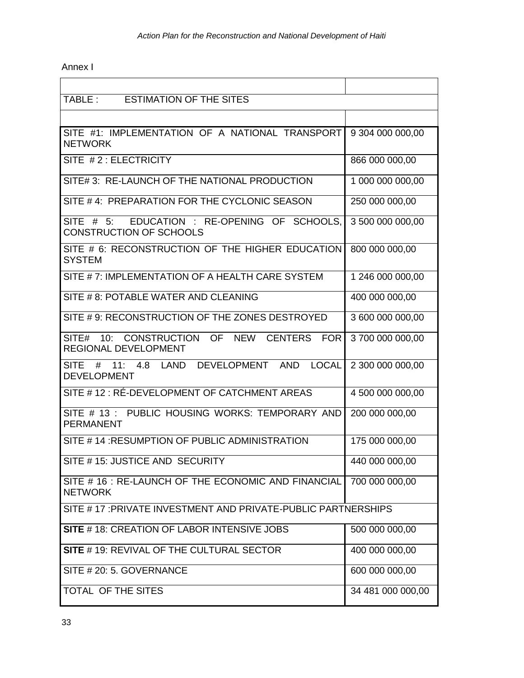# Annex I

| TABLE:<br><b>ESTIMATION OF THE SITES</b>                                               |                   |  |  |  |
|----------------------------------------------------------------------------------------|-------------------|--|--|--|
|                                                                                        |                   |  |  |  |
| SITE #1: IMPLEMENTATION OF A NATIONAL TRANSPORT<br><b>NETWORK</b>                      | 9 304 000 000,00  |  |  |  |
| SITE #2: ELECTRICITY                                                                   | 866 000 000,00    |  |  |  |
| SITE# 3: RE-LAUNCH OF THE NATIONAL PRODUCTION                                          | 1 000 000 000,00  |  |  |  |
| SITE #4: PREPARATION FOR THE CYCLONIC SEASON                                           | 250 000 000,00    |  |  |  |
| EDUCATION : RE-OPENING OF SCHOOLS,<br>SITE $# 5$ :<br><b>CONSTRUCTION OF SCHOOLS</b>   | 3 500 000 000,00  |  |  |  |
| SITE # 6: RECONSTRUCTION OF THE HIGHER EDUCATION<br><b>SYSTEM</b>                      | 800 000 000,00    |  |  |  |
| SITE #7: IMPLEMENTATION OF A HEALTH CARE SYSTEM                                        | 1 246 000 000,00  |  |  |  |
| SITE # 8: POTABLE WATER AND CLEANING                                                   | 400 000 000,00    |  |  |  |
| SITE #9: RECONSTRUCTION OF THE ZONES DESTROYED                                         | 3 600 000 000,00  |  |  |  |
| SITE# 10: CONSTRUCTION OF NEW CENTERS FOR<br><b>REGIONAL DEVELOPMENT</b>               | 3 700 000 000,00  |  |  |  |
| DEVELOPMENT AND<br><b>SITE</b><br># 11: 4.8 LAND<br><b>LOCAL</b><br><b>DEVELOPMENT</b> | 2 300 000 000,00  |  |  |  |
| SITE # 12 : RÉ-DEVELOPMENT OF CATCHMENT AREAS                                          | 4 500 000 000,00  |  |  |  |
| SITE # 13: PUBLIC HOUSING WORKS: TEMPORARY AND<br><b>PERMANENT</b>                     | 200 000 000,00    |  |  |  |
| SITE #14: RESUMPTION OF PUBLIC ADMINISTRATION                                          | 175 000 000,00    |  |  |  |
| SITE #15: JUSTICE AND SECURITY                                                         | 440 000 000,00    |  |  |  |
| SITE # 16 : RE-LAUNCH OF THE ECONOMIC AND FINANCIAL<br><b>NETWORK</b>                  | 700 000 000,00    |  |  |  |
| SITE #17: PRIVATE INVESTMENT AND PRIVATE-PUBLIC PARTNERSHIPS                           |                   |  |  |  |
| SITE #18: CREATION OF LABOR INTENSIVE JOBS                                             | 500 000 000,00    |  |  |  |
| SITE # 19: REVIVAL OF THE CULTURAL SECTOR                                              | 400 000 000,00    |  |  |  |
| SITE # 20: 5. GOVERNANCE                                                               | 600 000 000,00    |  |  |  |
| TOTAL OF THE SITES                                                                     | 34 481 000 000,00 |  |  |  |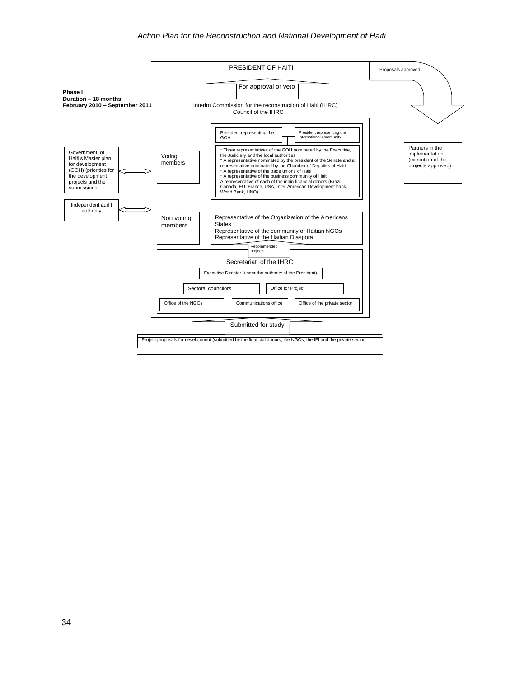